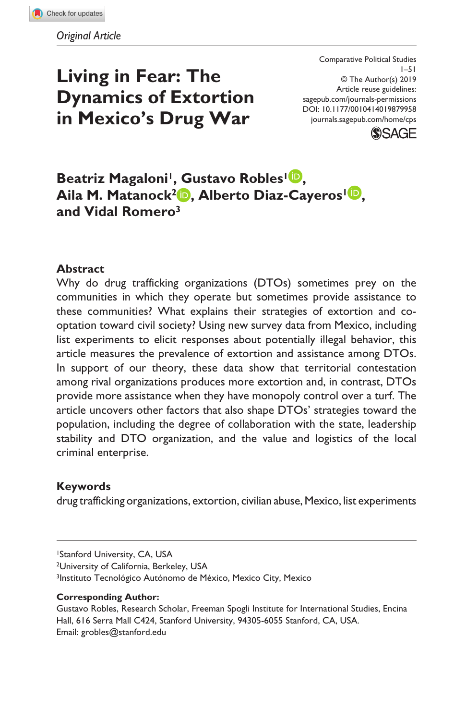# **Living in Fear: The Dynamics of Extortion in Mexico's Drug War**

DOI: 10.1177/0010414019879958 Comparative Political Studies 1–51 © The Author(s) 2019 Article reuse guidelines: [sagepub.com/journals-permissions](https://us.sagepub.com/en-us/journals-permissions) [journals.sagepub.com/home/cps](https://journals.sagepub.com/home/cps)



# **Beatriz Magaloni<sup>1</sup>, Gustavo Robles<sup>1</sup><sup>1</sup>, Aila M. Matanock2 , Alberto Diaz-Cayeros1 , and Vidal Romero3**

### **Abstract**

Why do drug trafficking organizations (DTOs) sometimes prey on the communities in which they operate but sometimes provide assistance to these communities? What explains their strategies of extortion and cooptation toward civil society? Using new survey data from Mexico, including list experiments to elicit responses about potentially illegal behavior, this article measures the prevalence of extortion and assistance among DTOs. In support of our theory, these data show that territorial contestation among rival organizations produces more extortion and, in contrast, DTOs provide more assistance when they have monopoly control over a turf. The article uncovers other factors that also shape DTOs' strategies toward the population, including the degree of collaboration with the state, leadership stability and DTO organization, and the value and logistics of the local criminal enterprise.

### **Keywords**

drug trafficking organizations, extortion, civilian abuse, Mexico, list experiments

1Stanford University, CA, USA

2University of California, Berkeley, USA 3Instituto Tecnológico Autónomo de México, Mexico City, Mexico

#### **Corresponding Author:**

Gustavo Robles, Research Scholar, Freeman Spogli Institute for International Studies, Encina Hall, 616 Serra Mall C424, Stanford University, 94305-6055 Stanford, CA, USA. Email: [grobles@stanford.edu](mailto:grobles@stanford.edu)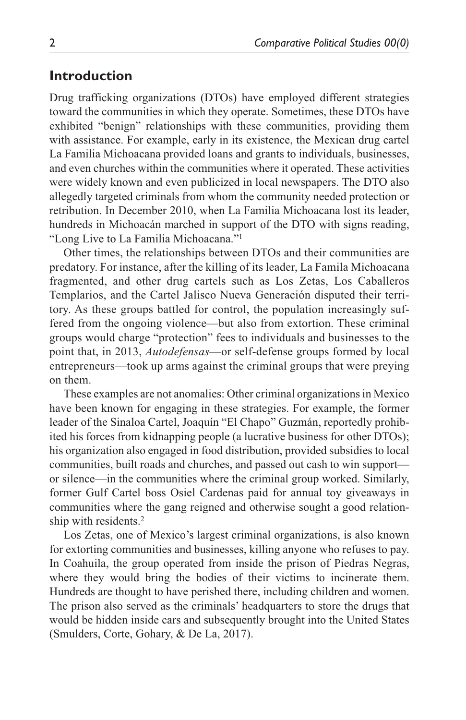# **Introduction**

Drug trafficking organizations (DTOs) have employed different strategies toward the communities in which they operate. Sometimes, these DTOs have exhibited "benign" relationships with these communities, providing them with assistance. For example, early in its existence, the Mexican drug cartel La Familia Michoacana provided loans and grants to individuals, businesses, and even churches within the communities where it operated. These activities were widely known and even publicized in local newspapers. The DTO also allegedly targeted criminals from whom the community needed protection or retribution. In December 2010, when La Familia Michoacana lost its leader, hundreds in Michoacán marched in support of the DTO with signs reading, "Long Live to La Familia Michoacana."1

Other times, the relationships between DTOs and their communities are predatory. For instance, after the killing of its leader, La Famila Michoacana fragmented, and other drug cartels such as Los Zetas, Los Caballeros Templarios, and the Cartel Jalisco Nueva Generación disputed their territory. As these groups battled for control, the population increasingly suffered from the ongoing violence—but also from extortion. These criminal groups would charge "protection" fees to individuals and businesses to the point that, in 2013, *Autodefensas*—or self-defense groups formed by local entrepreneurs—took up arms against the criminal groups that were preying on them.

These examples are not anomalies: Other criminal organizations in Mexico have been known for engaging in these strategies. For example, the former leader of the Sinaloa Cartel, Joaquín "El Chapo" Guzmán, reportedly prohibited his forces from kidnapping people (a lucrative business for other DTOs); his organization also engaged in food distribution, provided subsidies to local communities, built roads and churches, and passed out cash to win support or silence—in the communities where the criminal group worked. Similarly, former Gulf Cartel boss Osiel Cardenas paid for annual toy giveaways in communities where the gang reigned and otherwise sought a good relationship with residents.2

Los Zetas, one of Mexico's largest criminal organizations, is also known for extorting communities and businesses, killing anyone who refuses to pay. In Coahuila, the group operated from inside the prison of Piedras Negras, where they would bring the bodies of their victims to incinerate them. Hundreds are thought to have perished there, including children and women. The prison also served as the criminals' headquarters to store the drugs that would be hidden inside cars and subsequently brought into the United States (Smulders, Corte, Gohary, & De La, 2017).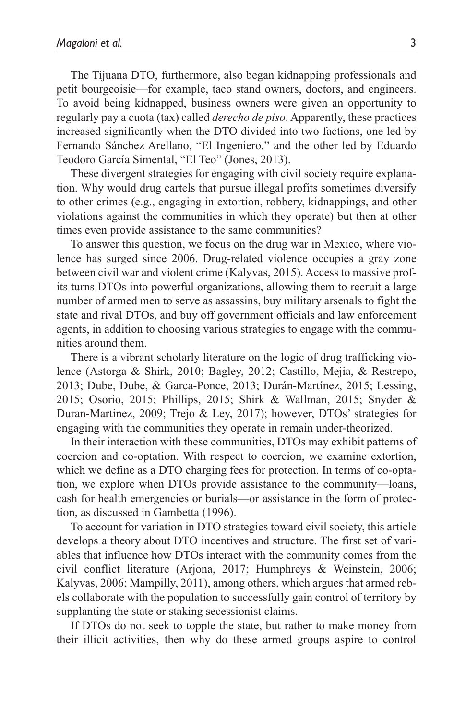The Tijuana DTO, furthermore, also began kidnapping professionals and petit bourgeoisie—for example, taco stand owners, doctors, and engineers. To avoid being kidnapped, business owners were given an opportunity to regularly pay a cuota (tax) called *derecho de piso*. Apparently, these practices increased significantly when the DTO divided into two factions, one led by Fernando Sánchez Arellano, "El Ingeniero," and the other led by Eduardo Teodoro García Simental, "El Teo" (Jones, 2013).

These divergent strategies for engaging with civil society require explanation. Why would drug cartels that pursue illegal profits sometimes diversify to other crimes (e.g., engaging in extortion, robbery, kidnappings, and other violations against the communities in which they operate) but then at other times even provide assistance to the same communities?

To answer this question, we focus on the drug war in Mexico, where violence has surged since 2006. Drug-related violence occupies a gray zone between civil war and violent crime (Kalyvas, 2015). Access to massive profits turns DTOs into powerful organizations, allowing them to recruit a large number of armed men to serve as assassins, buy military arsenals to fight the state and rival DTOs, and buy off government officials and law enforcement agents, in addition to choosing various strategies to engage with the communities around them.

There is a vibrant scholarly literature on the logic of drug trafficking violence (Astorga & Shirk, 2010; Bagley, 2012; Castillo, Mejia, & Restrepo, 2013; Dube, Dube, & Garca-Ponce, 2013; Durán-Martínez, 2015; Lessing, 2015; Osorio, 2015; Phillips, 2015; Shirk & Wallman, 2015; Snyder & Duran-Martinez, 2009; Trejo & Ley, 2017); however, DTOs' strategies for engaging with the communities they operate in remain under-theorized.

In their interaction with these communities, DTOs may exhibit patterns of coercion and co-optation. With respect to coercion, we examine extortion, which we define as a DTO charging fees for protection. In terms of co-optation, we explore when DTOs provide assistance to the community—loans, cash for health emergencies or burials—or assistance in the form of protection, as discussed in Gambetta (1996).

To account for variation in DTO strategies toward civil society, this article develops a theory about DTO incentives and structure. The first set of variables that influence how DTOs interact with the community comes from the civil conflict literature (Arjona, 2017; Humphreys & Weinstein, 2006; Kalyvas, 2006; Mampilly, 2011), among others, which argues that armed rebels collaborate with the population to successfully gain control of territory by supplanting the state or staking secessionist claims.

If DTOs do not seek to topple the state, but rather to make money from their illicit activities, then why do these armed groups aspire to control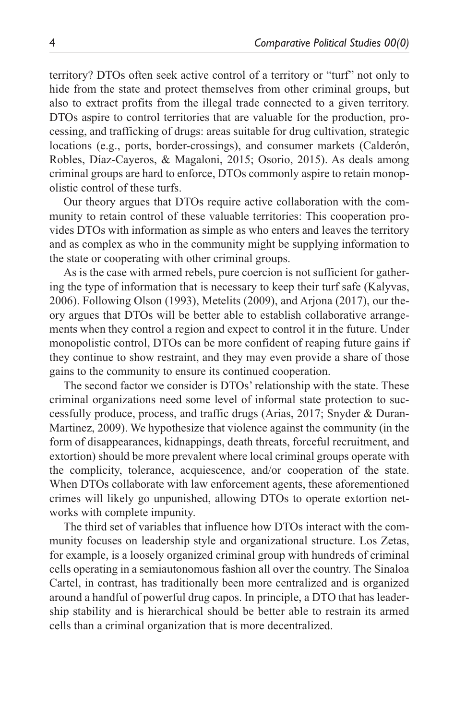territory? DTOs often seek active control of a territory or "turf" not only to hide from the state and protect themselves from other criminal groups, but also to extract profits from the illegal trade connected to a given territory. DTOs aspire to control territories that are valuable for the production, processing, and trafficking of drugs: areas suitable for drug cultivation, strategic locations (e.g., ports, border-crossings), and consumer markets (Calderón, Robles, Díaz-Cayeros, & Magaloni, 2015; Osorio, 2015). As deals among criminal groups are hard to enforce, DTOs commonly aspire to retain monopolistic control of these turfs.

Our theory argues that DTOs require active collaboration with the community to retain control of these valuable territories: This cooperation provides DTOs with information as simple as who enters and leaves the territory and as complex as who in the community might be supplying information to the state or cooperating with other criminal groups.

As is the case with armed rebels, pure coercion is not sufficient for gathering the type of information that is necessary to keep their turf safe (Kalyvas, 2006). Following Olson (1993), Metelits (2009), and Arjona (2017), our theory argues that DTOs will be better able to establish collaborative arrangements when they control a region and expect to control it in the future. Under monopolistic control, DTOs can be more confident of reaping future gains if they continue to show restraint, and they may even provide a share of those gains to the community to ensure its continued cooperation.

The second factor we consider is DTOs' relationship with the state. These criminal organizations need some level of informal state protection to successfully produce, process, and traffic drugs (Arias, 2017; Snyder & Duran-Martinez, 2009). We hypothesize that violence against the community (in the form of disappearances, kidnappings, death threats, forceful recruitment, and extortion) should be more prevalent where local criminal groups operate with the complicity, tolerance, acquiescence, and/or cooperation of the state. When DTOs collaborate with law enforcement agents, these aforementioned crimes will likely go unpunished, allowing DTOs to operate extortion networks with complete impunity.

The third set of variables that influence how DTOs interact with the community focuses on leadership style and organizational structure. Los Zetas, for example, is a loosely organized criminal group with hundreds of criminal cells operating in a semiautonomous fashion all over the country. The Sinaloa Cartel, in contrast, has traditionally been more centralized and is organized around a handful of powerful drug capos. In principle, a DTO that has leadership stability and is hierarchical should be better able to restrain its armed cells than a criminal organization that is more decentralized.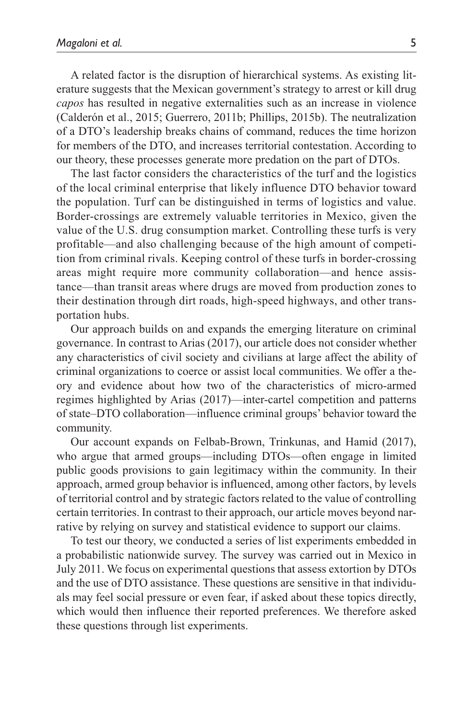A related factor is the disruption of hierarchical systems. As existing literature suggests that the Mexican government's strategy to arrest or kill drug *capos* has resulted in negative externalities such as an increase in violence (Calderón et al., 2015; Guerrero, 2011b; Phillips, 2015b). The neutralization of a DTO's leadership breaks chains of command, reduces the time horizon for members of the DTO, and increases territorial contestation. According to our theory, these processes generate more predation on the part of DTOs.

The last factor considers the characteristics of the turf and the logistics of the local criminal enterprise that likely influence DTO behavior toward the population. Turf can be distinguished in terms of logistics and value. Border-crossings are extremely valuable territories in Mexico, given the value of the U.S. drug consumption market. Controlling these turfs is very profitable—and also challenging because of the high amount of competition from criminal rivals. Keeping control of these turfs in border-crossing areas might require more community collaboration—and hence assistance—than transit areas where drugs are moved from production zones to their destination through dirt roads, high-speed highways, and other transportation hubs.

Our approach builds on and expands the emerging literature on criminal governance. In contrast to Arias (2017), our article does not consider whether any characteristics of civil society and civilians at large affect the ability of criminal organizations to coerce or assist local communities. We offer a theory and evidence about how two of the characteristics of micro-armed regimes highlighted by Arias (2017)—inter-cartel competition and patterns of state–DTO collaboration—influence criminal groups' behavior toward the community.

Our account expands on Felbab-Brown, Trinkunas, and Hamid (2017), who argue that armed groups—including DTOs—often engage in limited public goods provisions to gain legitimacy within the community. In their approach, armed group behavior is influenced, among other factors, by levels of territorial control and by strategic factors related to the value of controlling certain territories. In contrast to their approach, our article moves beyond narrative by relying on survey and statistical evidence to support our claims.

To test our theory, we conducted a series of list experiments embedded in a probabilistic nationwide survey. The survey was carried out in Mexico in July 2011. We focus on experimental questions that assess extortion by DTOs and the use of DTO assistance. These questions are sensitive in that individuals may feel social pressure or even fear, if asked about these topics directly, which would then influence their reported preferences. We therefore asked these questions through list experiments.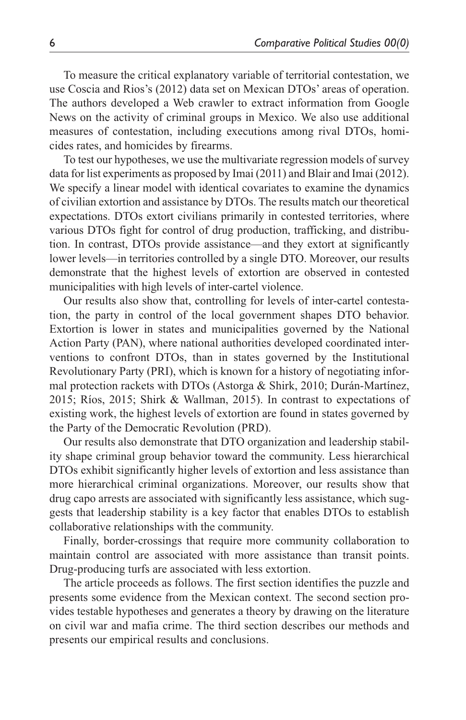To measure the critical explanatory variable of territorial contestation, we use Coscia and Rios's (2012) data set on Mexican DTOs' areas of operation. The authors developed a Web crawler to extract information from Google News on the activity of criminal groups in Mexico. We also use additional measures of contestation, including executions among rival DTOs, homicides rates, and homicides by firearms.

To test our hypotheses, we use the multivariate regression models of survey data for list experiments as proposed by Imai (2011) and Blair and Imai (2012). We specify a linear model with identical covariates to examine the dynamics of civilian extortion and assistance by DTOs. The results match our theoretical expectations. DTOs extort civilians primarily in contested territories, where various DTOs fight for control of drug production, trafficking, and distribution. In contrast, DTOs provide assistance—and they extort at significantly lower levels—in territories controlled by a single DTO. Moreover, our results demonstrate that the highest levels of extortion are observed in contested municipalities with high levels of inter-cartel violence.

Our results also show that, controlling for levels of inter-cartel contestation, the party in control of the local government shapes DTO behavior. Extortion is lower in states and municipalities governed by the National Action Party (PAN), where national authorities developed coordinated interventions to confront DTOs, than in states governed by the Institutional Revolutionary Party (PRI), which is known for a history of negotiating informal protection rackets with DTOs (Astorga & Shirk, 2010; Durán-Martínez, 2015; Ríos, 2015; Shirk & Wallman, 2015). In contrast to expectations of existing work, the highest levels of extortion are found in states governed by the Party of the Democratic Revolution (PRD).

Our results also demonstrate that DTO organization and leadership stability shape criminal group behavior toward the community. Less hierarchical DTOs exhibit significantly higher levels of extortion and less assistance than more hierarchical criminal organizations. Moreover, our results show that drug capo arrests are associated with significantly less assistance, which suggests that leadership stability is a key factor that enables DTOs to establish collaborative relationships with the community.

Finally, border-crossings that require more community collaboration to maintain control are associated with more assistance than transit points. Drug-producing turfs are associated with less extortion.

The article proceeds as follows. The first section identifies the puzzle and presents some evidence from the Mexican context. The second section provides testable hypotheses and generates a theory by drawing on the literature on civil war and mafia crime. The third section describes our methods and presents our empirical results and conclusions.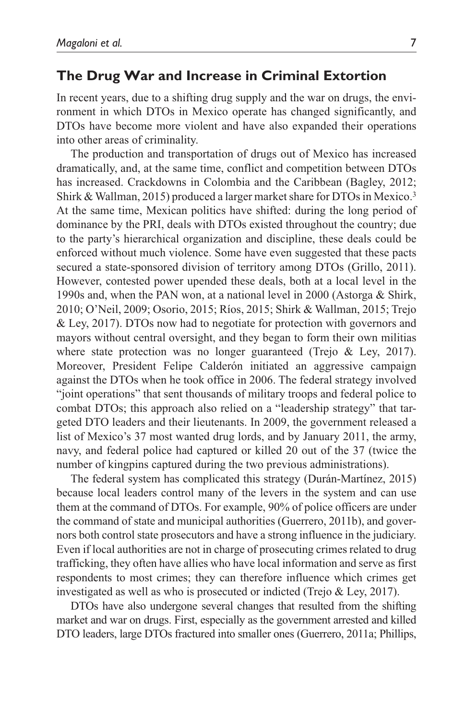# **The Drug War and Increase in Criminal Extortion**

In recent years, due to a shifting drug supply and the war on drugs, the environment in which DTOs in Mexico operate has changed significantly, and DTOs have become more violent and have also expanded their operations into other areas of criminality.

The production and transportation of drugs out of Mexico has increased dramatically, and, at the same time, conflict and competition between DTOs has increased. Crackdowns in Colombia and the Caribbean (Bagley, 2012; Shirk & Wallman, 2015) produced a larger market share for DTOs in Mexico.3 At the same time, Mexican politics have shifted: during the long period of dominance by the PRI, deals with DTOs existed throughout the country; due to the party's hierarchical organization and discipline, these deals could be enforced without much violence. Some have even suggested that these pacts secured a state-sponsored division of territory among DTOs (Grillo, 2011). However, contested power upended these deals, both at a local level in the 1990s and, when the PAN won, at a national level in 2000 (Astorga & Shirk, 2010; O'Neil, 2009; Osorio, 2015; Ríos, 2015; Shirk & Wallman, 2015; Trejo & Ley, 2017). DTOs now had to negotiate for protection with governors and mayors without central oversight, and they began to form their own militias where state protection was no longer guaranteed (Trejo & Ley, 2017). Moreover, President Felipe Calderón initiated an aggressive campaign against the DTOs when he took office in 2006. The federal strategy involved "joint operations" that sent thousands of military troops and federal police to combat DTOs; this approach also relied on a "leadership strategy" that targeted DTO leaders and their lieutenants. In 2009, the government released a list of Mexico's 37 most wanted drug lords, and by January 2011, the army, navy, and federal police had captured or killed 20 out of the 37 (twice the number of kingpins captured during the two previous administrations).

The federal system has complicated this strategy (Durán-Martínez, 2015) because local leaders control many of the levers in the system and can use them at the command of DTOs. For example, 90% of police officers are under the command of state and municipal authorities (Guerrero, 2011b), and governors both control state prosecutors and have a strong influence in the judiciary. Even if local authorities are not in charge of prosecuting crimes related to drug trafficking, they often have allies who have local information and serve as first respondents to most crimes; they can therefore influence which crimes get investigated as well as who is prosecuted or indicted (Trejo & Ley, 2017).

DTOs have also undergone several changes that resulted from the shifting market and war on drugs. First, especially as the government arrested and killed DTO leaders, large DTOs fractured into smaller ones (Guerrero, 2011a; Phillips,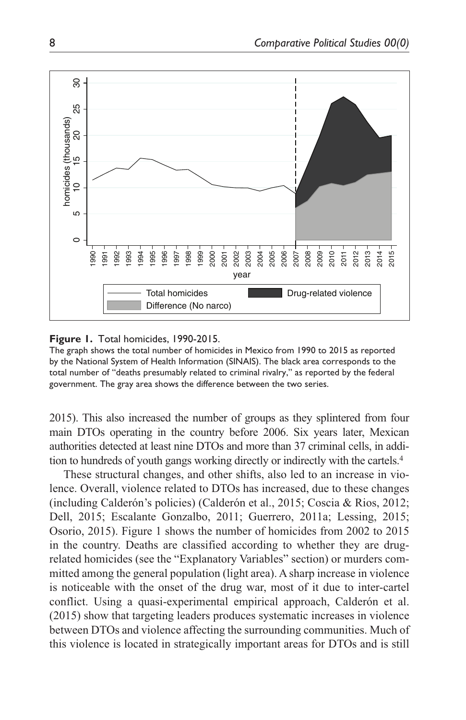

#### **Figure 1.** Total homicides, 1990-2015.

The graph shows the total number of homicides in Mexico from 1990 to 2015 as reported by the National System of Health Information (SINAIS). The black area corresponds to the total number of "deaths presumably related to criminal rivalry," as reported by the federal government. The gray area shows the difference between the two series.

2015). This also increased the number of groups as they splintered from four main DTOs operating in the country before 2006. Six years later, Mexican authorities detected at least nine DTOs and more than 37 criminal cells, in addition to hundreds of youth gangs working directly or indirectly with the cartels.4

These structural changes, and other shifts, also led to an increase in violence. Overall, violence related to DTOs has increased, due to these changes (including Calderón's policies) (Calderón et al., 2015; Coscia & Rios, 2012; Dell, 2015; Escalante Gonzalbo, 2011; Guerrero, 2011a; Lessing, 2015; Osorio, 2015). Figure 1 shows the number of homicides from 2002 to 2015 in the country. Deaths are classified according to whether they are drugrelated homicides (see the "Explanatory Variables" section) or murders committed among the general population (light area). A sharp increase in violence is noticeable with the onset of the drug war, most of it due to inter-cartel conflict. Using a quasi-experimental empirical approach, Calderón et al. (2015) show that targeting leaders produces systematic increases in violence between DTOs and violence affecting the surrounding communities. Much of this violence is located in strategically important areas for DTOs and is still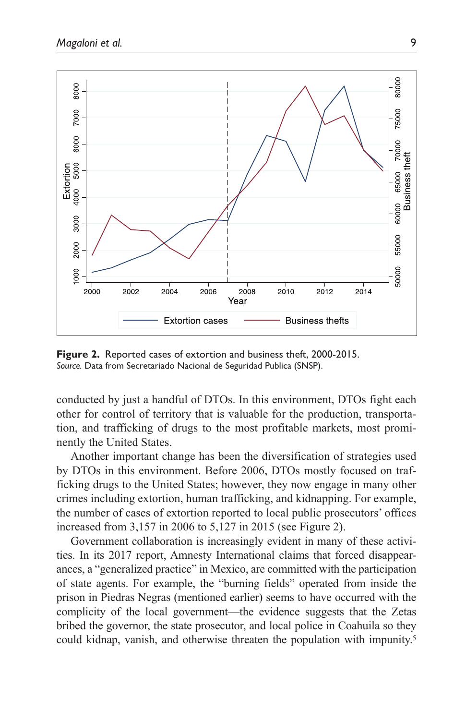

**Figure 2.** Reported cases of extortion and business theft, 2000-2015. *Source.* Data from Secretariado Nacional de Seguridad Publica (SNSP).

conducted by just a handful of DTOs. In this environment, DTOs fight each other for control of territory that is valuable for the production, transportation, and trafficking of drugs to the most profitable markets, most prominently the United States.

Another important change has been the diversification of strategies used by DTOs in this environment. Before 2006, DTOs mostly focused on trafficking drugs to the United States; however, they now engage in many other crimes including extortion, human trafficking, and kidnapping. For example, the number of cases of extortion reported to local public prosecutors' offices increased from 3,157 in 2006 to 5,127 in 2015 (see Figure 2).

Government collaboration is increasingly evident in many of these activities. In its 2017 report, Amnesty International claims that forced disappearances, a "generalized practice" in Mexico, are committed with the participation of state agents. For example, the "burning fields" operated from inside the prison in Piedras Negras (mentioned earlier) seems to have occurred with the complicity of the local government—the evidence suggests that the Zetas bribed the governor, the state prosecutor, and local police in Coahuila so they could kidnap, vanish, and otherwise threaten the population with impunity.<sup>5</sup>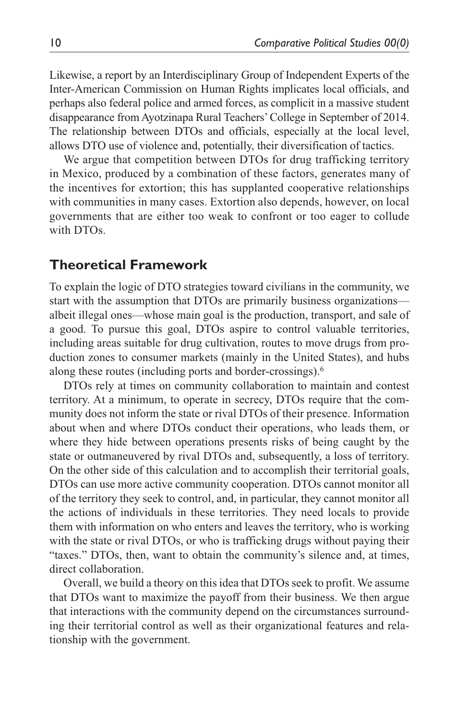Likewise, a report by an Interdisciplinary Group of Independent Experts of the Inter-American Commission on Human Rights implicates local officials, and perhaps also federal police and armed forces, as complicit in a massive student disappearance from Ayotzinapa Rural Teachers' College in September of 2014. The relationship between DTOs and officials, especially at the local level, allows DTO use of violence and, potentially, their diversification of tactics.

We argue that competition between DTOs for drug trafficking territory in Mexico, produced by a combination of these factors, generates many of the incentives for extortion; this has supplanted cooperative relationships with communities in many cases. Extortion also depends, however, on local governments that are either too weak to confront or too eager to collude with DTOs.

### **Theoretical Framework**

To explain the logic of DTO strategies toward civilians in the community, we start with the assumption that DTOs are primarily business organizations albeit illegal ones—whose main goal is the production, transport, and sale of a good. To pursue this goal, DTOs aspire to control valuable territories, including areas suitable for drug cultivation, routes to move drugs from production zones to consumer markets (mainly in the United States), and hubs along these routes (including ports and border-crossings).6

DTOs rely at times on community collaboration to maintain and contest territory. At a minimum, to operate in secrecy, DTOs require that the community does not inform the state or rival DTOs of their presence. Information about when and where DTOs conduct their operations, who leads them, or where they hide between operations presents risks of being caught by the state or outmaneuvered by rival DTOs and, subsequently, a loss of territory. On the other side of this calculation and to accomplish their territorial goals, DTOs can use more active community cooperation. DTOs cannot monitor all of the territory they seek to control, and, in particular, they cannot monitor all the actions of individuals in these territories. They need locals to provide them with information on who enters and leaves the territory, who is working with the state or rival DTOs, or who is trafficking drugs without paying their "taxes." DTOs, then, want to obtain the community's silence and, at times, direct collaboration.

Overall, we build a theory on this idea that DTOs seek to profit. We assume that DTOs want to maximize the payoff from their business. We then argue that interactions with the community depend on the circumstances surrounding their territorial control as well as their organizational features and relationship with the government.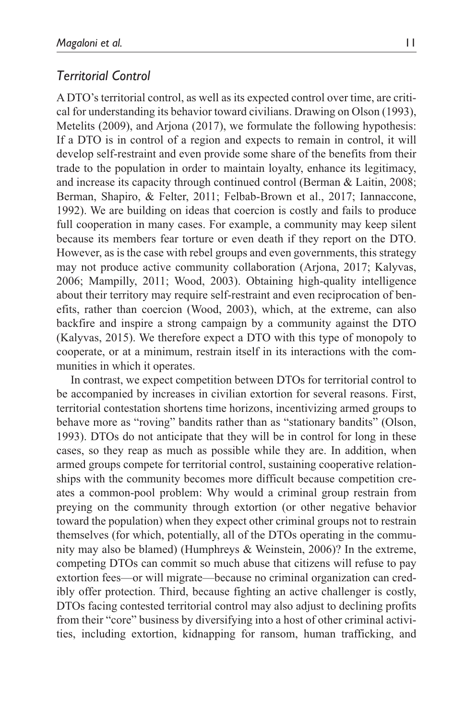# *Territorial Control*

A DTO's territorial control, as well as its expected control over time, are critical for understanding its behavior toward civilians. Drawing on Olson (1993), Metelits (2009), and Arjona (2017), we formulate the following hypothesis: If a DTO is in control of a region and expects to remain in control, it will develop self-restraint and even provide some share of the benefits from their trade to the population in order to maintain loyalty, enhance its legitimacy, and increase its capacity through continued control (Berman & Laitin, 2008; Berman, Shapiro, & Felter, 2011; Felbab-Brown et al., 2017; Iannaccone, 1992). We are building on ideas that coercion is costly and fails to produce full cooperation in many cases. For example, a community may keep silent because its members fear torture or even death if they report on the DTO. However, as is the case with rebel groups and even governments, this strategy may not produce active community collaboration (Arjona, 2017; Kalyvas, 2006; Mampilly, 2011; Wood, 2003). Obtaining high-quality intelligence about their territory may require self-restraint and even reciprocation of benefits, rather than coercion (Wood, 2003), which, at the extreme, can also backfire and inspire a strong campaign by a community against the DTO (Kalyvas, 2015). We therefore expect a DTO with this type of monopoly to cooperate, or at a minimum, restrain itself in its interactions with the communities in which it operates.

In contrast, we expect competition between DTOs for territorial control to be accompanied by increases in civilian extortion for several reasons. First, territorial contestation shortens time horizons, incentivizing armed groups to behave more as "roving" bandits rather than as "stationary bandits" (Olson, 1993). DTOs do not anticipate that they will be in control for long in these cases, so they reap as much as possible while they are. In addition, when armed groups compete for territorial control, sustaining cooperative relationships with the community becomes more difficult because competition creates a common-pool problem: Why would a criminal group restrain from preying on the community through extortion (or other negative behavior toward the population) when they expect other criminal groups not to restrain themselves (for which, potentially, all of the DTOs operating in the community may also be blamed) (Humphreys & Weinstein, 2006)? In the extreme, competing DTOs can commit so much abuse that citizens will refuse to pay extortion fees—or will migrate—because no criminal organization can credibly offer protection. Third, because fighting an active challenger is costly, DTOs facing contested territorial control may also adjust to declining profits from their "core" business by diversifying into a host of other criminal activities, including extortion, kidnapping for ransom, human trafficking, and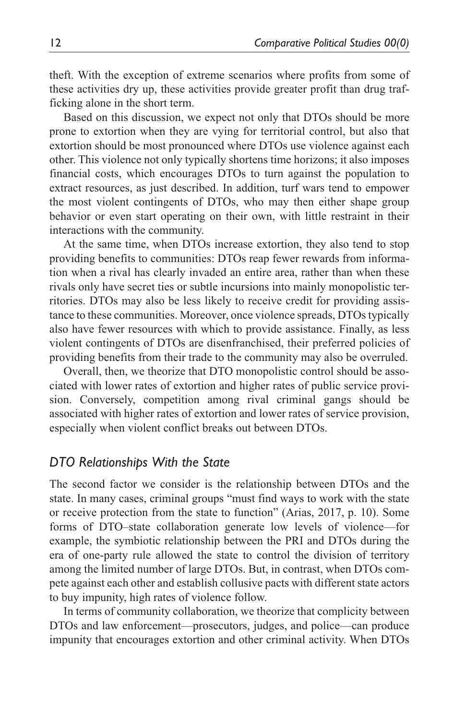theft. With the exception of extreme scenarios where profits from some of these activities dry up, these activities provide greater profit than drug trafficking alone in the short term.

Based on this discussion, we expect not only that DTOs should be more prone to extortion when they are vying for territorial control, but also that extortion should be most pronounced where DTOs use violence against each other. This violence not only typically shortens time horizons; it also imposes financial costs, which encourages DTOs to turn against the population to extract resources, as just described. In addition, turf wars tend to empower the most violent contingents of DTOs, who may then either shape group behavior or even start operating on their own, with little restraint in their interactions with the community.

At the same time, when DTOs increase extortion, they also tend to stop providing benefits to communities: DTOs reap fewer rewards from information when a rival has clearly invaded an entire area, rather than when these rivals only have secret ties or subtle incursions into mainly monopolistic territories. DTOs may also be less likely to receive credit for providing assistance to these communities. Moreover, once violence spreads, DTOs typically also have fewer resources with which to provide assistance. Finally, as less violent contingents of DTOs are disenfranchised, their preferred policies of providing benefits from their trade to the community may also be overruled.

Overall, then, we theorize that DTO monopolistic control should be associated with lower rates of extortion and higher rates of public service provision. Conversely, competition among rival criminal gangs should be associated with higher rates of extortion and lower rates of service provision, especially when violent conflict breaks out between DTOs.

## *DTO Relationships With the State*

The second factor we consider is the relationship between DTOs and the state. In many cases, criminal groups "must find ways to work with the state or receive protection from the state to function" (Arias, 2017, p. 10). Some forms of DTO–state collaboration generate low levels of violence—for example, the symbiotic relationship between the PRI and DTOs during the era of one-party rule allowed the state to control the division of territory among the limited number of large DTOs. But, in contrast, when DTOs compete against each other and establish collusive pacts with different state actors to buy impunity, high rates of violence follow.

In terms of community collaboration, we theorize that complicity between DTOs and law enforcement—prosecutors, judges, and police—can produce impunity that encourages extortion and other criminal activity. When DTOs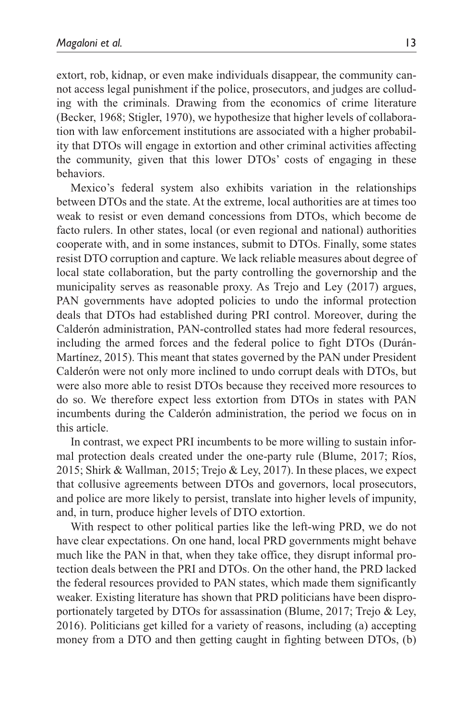extort, rob, kidnap, or even make individuals disappear, the community cannot access legal punishment if the police, prosecutors, and judges are colluding with the criminals. Drawing from the economics of crime literature (Becker, 1968; Stigler, 1970), we hypothesize that higher levels of collaboration with law enforcement institutions are associated with a higher probability that DTOs will engage in extortion and other criminal activities affecting the community, given that this lower DTOs' costs of engaging in these behaviors.

Mexico's federal system also exhibits variation in the relationships between DTOs and the state. At the extreme, local authorities are at times too weak to resist or even demand concessions from DTOs, which become de facto rulers. In other states, local (or even regional and national) authorities cooperate with, and in some instances, submit to DTOs. Finally, some states resist DTO corruption and capture. We lack reliable measures about degree of local state collaboration, but the party controlling the governorship and the municipality serves as reasonable proxy. As Trejo and Ley (2017) argues, PAN governments have adopted policies to undo the informal protection deals that DTOs had established during PRI control. Moreover, during the Calderón administration, PAN-controlled states had more federal resources, including the armed forces and the federal police to fight DTOs (Durán-Martínez, 2015). This meant that states governed by the PAN under President Calderón were not only more inclined to undo corrupt deals with DTOs, but were also more able to resist DTOs because they received more resources to do so. We therefore expect less extortion from DTOs in states with PAN incumbents during the Calderón administration, the period we focus on in this article.

In contrast, we expect PRI incumbents to be more willing to sustain informal protection deals created under the one-party rule (Blume, 2017; Ríos, 2015; Shirk & Wallman, 2015; Trejo & Ley, 2017). In these places, we expect that collusive agreements between DTOs and governors, local prosecutors, and police are more likely to persist, translate into higher levels of impunity, and, in turn, produce higher levels of DTO extortion.

With respect to other political parties like the left-wing PRD, we do not have clear expectations. On one hand, local PRD governments might behave much like the PAN in that, when they take office, they disrupt informal protection deals between the PRI and DTOs. On the other hand, the PRD lacked the federal resources provided to PAN states, which made them significantly weaker. Existing literature has shown that PRD politicians have been disproportionately targeted by DTOs for assassination (Blume, 2017; Trejo & Ley, 2016). Politicians get killed for a variety of reasons, including (a) accepting money from a DTO and then getting caught in fighting between DTOs, (b)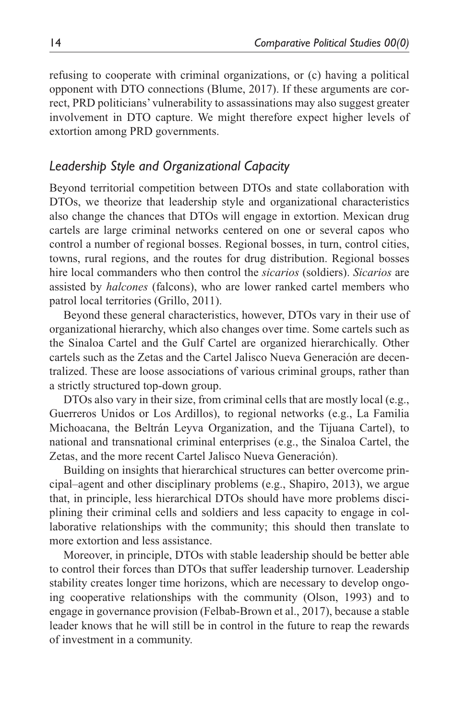refusing to cooperate with criminal organizations, or (c) having a political opponent with DTO connections (Blume, 2017). If these arguments are correct, PRD politicians' vulnerability to assassinations may also suggest greater involvement in DTO capture. We might therefore expect higher levels of extortion among PRD governments.

# *Leadership Style and Organizational Capacity*

Beyond territorial competition between DTOs and state collaboration with DTOs, we theorize that leadership style and organizational characteristics also change the chances that DTOs will engage in extortion. Mexican drug cartels are large criminal networks centered on one or several capos who control a number of regional bosses. Regional bosses, in turn, control cities, towns, rural regions, and the routes for drug distribution. Regional bosses hire local commanders who then control the *sicarios* (soldiers). *Sicarios* are assisted by *halcones* (falcons), who are lower ranked cartel members who patrol local territories (Grillo, 2011).

Beyond these general characteristics, however, DTOs vary in their use of organizational hierarchy, which also changes over time. Some cartels such as the Sinaloa Cartel and the Gulf Cartel are organized hierarchically. Other cartels such as the Zetas and the Cartel Jalisco Nueva Generación are decentralized. These are loose associations of various criminal groups, rather than a strictly structured top-down group.

DTOs also vary in their size, from criminal cells that are mostly local (e.g., Guerreros Unidos or Los Ardillos), to regional networks (e.g., La Familia Michoacana, the Beltrán Leyva Organization, and the Tijuana Cartel), to national and transnational criminal enterprises (e.g., the Sinaloa Cartel, the Zetas, and the more recent Cartel Jalisco Nueva Generación).

Building on insights that hierarchical structures can better overcome principal–agent and other disciplinary problems (e.g., Shapiro, 2013), we argue that, in principle, less hierarchical DTOs should have more problems disciplining their criminal cells and soldiers and less capacity to engage in collaborative relationships with the community; this should then translate to more extortion and less assistance.

Moreover, in principle, DTOs with stable leadership should be better able to control their forces than DTOs that suffer leadership turnover. Leadership stability creates longer time horizons, which are necessary to develop ongoing cooperative relationships with the community (Olson, 1993) and to engage in governance provision (Felbab-Brown et al., 2017), because a stable leader knows that he will still be in control in the future to reap the rewards of investment in a community.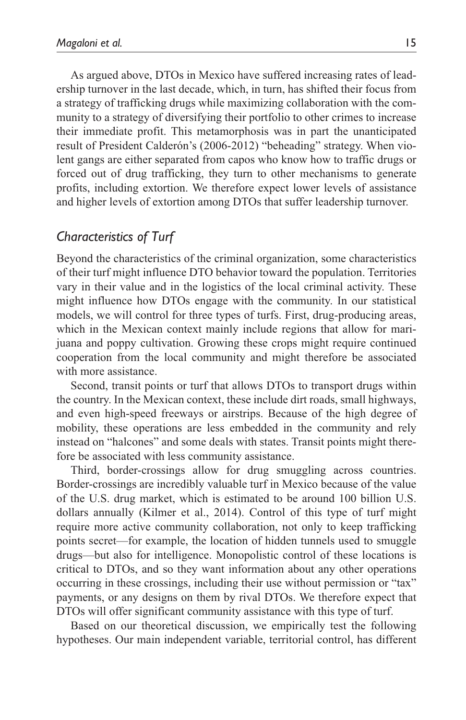As argued above, DTOs in Mexico have suffered increasing rates of leadership turnover in the last decade, which, in turn, has shifted their focus from a strategy of trafficking drugs while maximizing collaboration with the community to a strategy of diversifying their portfolio to other crimes to increase their immediate profit. This metamorphosis was in part the unanticipated result of President Calderón's (2006-2012) "beheading" strategy. When violent gangs are either separated from capos who know how to traffic drugs or forced out of drug trafficking, they turn to other mechanisms to generate profits, including extortion. We therefore expect lower levels of assistance and higher levels of extortion among DTOs that suffer leadership turnover.

# *Characteristics of Turf*

Beyond the characteristics of the criminal organization, some characteristics of their turf might influence DTO behavior toward the population. Territories vary in their value and in the logistics of the local criminal activity. These might influence how DTOs engage with the community. In our statistical models, we will control for three types of turfs. First, drug-producing areas, which in the Mexican context mainly include regions that allow for marijuana and poppy cultivation. Growing these crops might require continued cooperation from the local community and might therefore be associated with more assistance.

Second, transit points or turf that allows DTOs to transport drugs within the country. In the Mexican context, these include dirt roads, small highways, and even high-speed freeways or airstrips. Because of the high degree of mobility, these operations are less embedded in the community and rely instead on "halcones" and some deals with states. Transit points might therefore be associated with less community assistance.

Third, border-crossings allow for drug smuggling across countries. Border-crossings are incredibly valuable turf in Mexico because of the value of the U.S. drug market, which is estimated to be around 100 billion U.S. dollars annually (Kilmer et al., 2014). Control of this type of turf might require more active community collaboration, not only to keep trafficking points secret—for example, the location of hidden tunnels used to smuggle drugs—but also for intelligence. Monopolistic control of these locations is critical to DTOs, and so they want information about any other operations occurring in these crossings, including their use without permission or "tax" payments, or any designs on them by rival DTOs. We therefore expect that DTOs will offer significant community assistance with this type of turf.

Based on our theoretical discussion, we empirically test the following hypotheses. Our main independent variable, territorial control, has different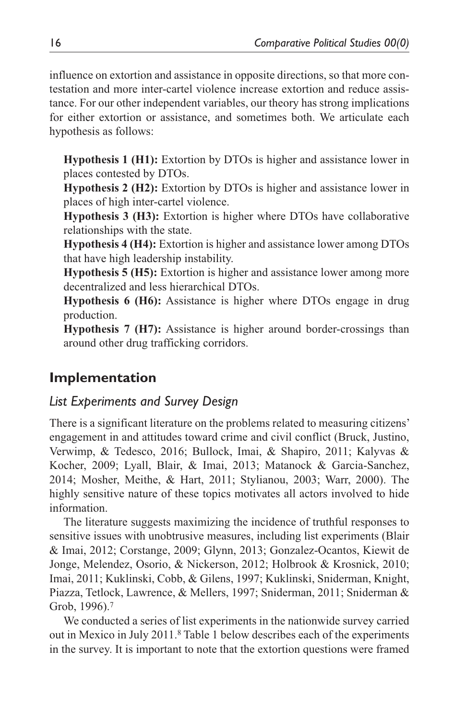influence on extortion and assistance in opposite directions, so that more contestation and more inter-cartel violence increase extortion and reduce assistance. For our other independent variables, our theory has strong implications for either extortion or assistance, and sometimes both. We articulate each hypothesis as follows:

**Hypothesis 1 (H1):** Extortion by DTOs is higher and assistance lower in places contested by DTOs.

**Hypothesis 2 (H2):** Extortion by DTOs is higher and assistance lower in places of high inter-cartel violence.

**Hypothesis 3 (H3):** Extortion is higher where DTOs have collaborative relationships with the state.

**Hypothesis 4 (H4):** Extortion is higher and assistance lower among DTOs that have high leadership instability.

**Hypothesis 5 (H5):** Extortion is higher and assistance lower among more decentralized and less hierarchical DTOs.

**Hypothesis 6 (H6):** Assistance is higher where DTOs engage in drug production.

**Hypothesis 7 (H7):** Assistance is higher around border-crossings than around other drug trafficking corridors.

# **Implementation**

# *List Experiments and Survey Design*

There is a significant literature on the problems related to measuring citizens' engagement in and attitudes toward crime and civil conflict (Bruck, Justino, Verwimp, & Tedesco, 2016; Bullock, Imai, & Shapiro, 2011; Kalyvas & Kocher, 2009; Lyall, Blair, & Imai, 2013; Matanock & Garcia-Sanchez, 2014; Mosher, Meithe, & Hart, 2011; Stylianou, 2003; Warr, 2000). The highly sensitive nature of these topics motivates all actors involved to hide information.

The literature suggests maximizing the incidence of truthful responses to sensitive issues with unobtrusive measures, including list experiments (Blair & Imai, 2012; Corstange, 2009; Glynn, 2013; Gonzalez-Ocantos, Kiewit de Jonge, Melendez, Osorio, & Nickerson, 2012; Holbrook & Krosnick, 2010; Imai, 2011; Kuklinski, Cobb, & Gilens, 1997; Kuklinski, Sniderman, Knight, Piazza, Tetlock, Lawrence, & Mellers, 1997; Sniderman, 2011; Sniderman & Grob, 1996).7

We conducted a series of list experiments in the nationwide survey carried out in Mexico in July 2011.8 Table 1 below describes each of the experiments in the survey. It is important to note that the extortion questions were framed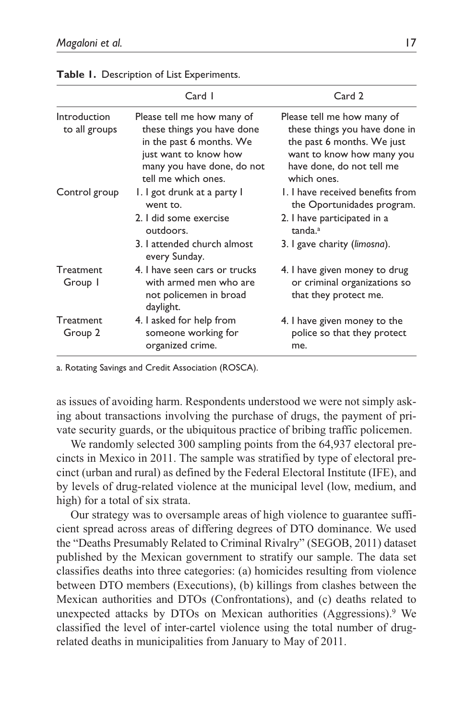|                               | Card I                                                                                                                                                             | Card 2                                                                                                                                                             |
|-------------------------------|--------------------------------------------------------------------------------------------------------------------------------------------------------------------|--------------------------------------------------------------------------------------------------------------------------------------------------------------------|
| Introduction<br>to all groups | Please tell me how many of<br>these things you have done<br>in the past 6 months. We<br>just want to know how<br>many you have done, do not<br>tell me which ones. | Please tell me how many of<br>these things you have done in<br>the past 6 months. We just<br>want to know how many you<br>have done, do not tell me<br>which ones. |
| Control group                 | I. I got drunk at a party I<br>went to.<br>2. I did some exercise<br>outdoors.                                                                                     | 1. I have received benefits from<br>the Oportunidades program.<br>2. I have participated in a<br>tanda. <sup>a</sup>                                               |
|                               | 3. I attended church almost<br>every Sunday.                                                                                                                       | 3. I gave charity (limosna).                                                                                                                                       |
| Treatment<br>Group I          | 4. I have seen cars or trucks<br>with armed men who are<br>not policemen in broad<br>daylight.                                                                     | 4. I have given money to drug<br>or criminal organizations so<br>that they protect me.                                                                             |
| Treatment<br>Group 2          | 4. I asked for help from<br>someone working for<br>organized crime.                                                                                                | 4. I have given money to the<br>police so that they protect<br>me.                                                                                                 |

**Table 1.** Description of List Experiments.

a. Rotating Savings and Credit Association (ROSCA).

as issues of avoiding harm. Respondents understood we were not simply asking about transactions involving the purchase of drugs, the payment of private security guards, or the ubiquitous practice of bribing traffic policemen.

We randomly selected 300 sampling points from the 64,937 electoral precincts in Mexico in 2011. The sample was stratified by type of electoral precinct (urban and rural) as defined by the Federal Electoral Institute (IFE), and by levels of drug-related violence at the municipal level (low, medium, and high) for a total of six strata.

Our strategy was to oversample areas of high violence to guarantee sufficient spread across areas of differing degrees of DTO dominance. We used the "Deaths Presumably Related to Criminal Rivalry" (SEGOB, 2011) dataset published by the Mexican government to stratify our sample. The data set classifies deaths into three categories: (a) homicides resulting from violence between DTO members (Executions), (b) killings from clashes between the Mexican authorities and DTOs (Confrontations), and (c) deaths related to unexpected attacks by DTOs on Mexican authorities (Aggressions).9 We classified the level of inter-cartel violence using the total number of drugrelated deaths in municipalities from January to May of 2011.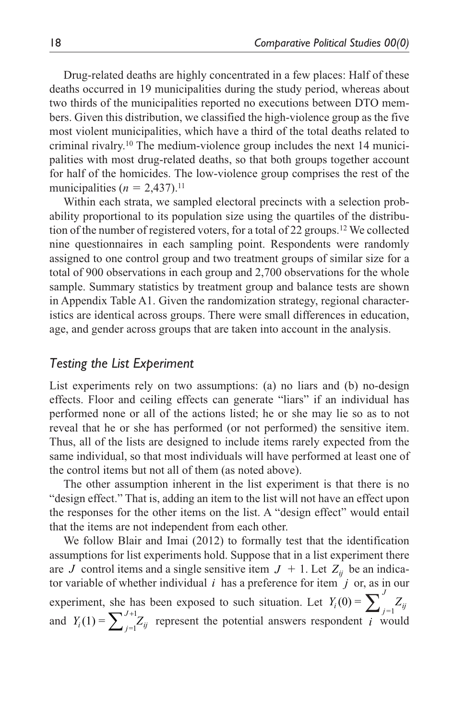Drug-related deaths are highly concentrated in a few places: Half of these deaths occurred in 19 municipalities during the study period, whereas about two thirds of the municipalities reported no executions between DTO members. Given this distribution, we classified the high-violence group as the five most violent municipalities, which have a third of the total deaths related to criminal rivalry.10 The medium-violence group includes the next 14 municipalities with most drug-related deaths, so that both groups together account for half of the homicides. The low-violence group comprises the rest of the municipalities  $(n = 2,437)$ .<sup>11</sup>

Within each strata, we sampled electoral precincts with a selection probability proportional to its population size using the quartiles of the distribution of the number of registered voters, for a total of 22 groups.12 We collected nine questionnaires in each sampling point. Respondents were randomly assigned to one control group and two treatment groups of similar size for a total of 900 observations in each group and 2,700 observations for the whole sample. Summary statistics by treatment group and balance tests are shown in Appendix Table A1. Given the randomization strategy, regional characteristics are identical across groups. There were small differences in education, age, and gender across groups that are taken into account in the analysis.

# *Testing the List Experiment*

List experiments rely on two assumptions: (a) no liars and (b) no-design effects. Floor and ceiling effects can generate "liars" if an individual has performed none or all of the actions listed; he or she may lie so as to not reveal that he or she has performed (or not performed) the sensitive item. Thus, all of the lists are designed to include items rarely expected from the same individual, so that most individuals will have performed at least one of the control items but not all of them (as noted above).

The other assumption inherent in the list experiment is that there is no "design effect." That is, adding an item to the list will not have an effect upon the responses for the other items on the list. A "design effect" would entail that the items are not independent from each other.

We follow Blair and Imai (2012) to formally test that the identification assumptions for list experiments hold. Suppose that in a list experiment there are *J* control items and a single sensitive item  $J + 1$ . Let  $Z_{ii}$  be an indicator variable of whether individual  $i$  has a preference for item  $j$  or, as in our experiment, she has been exposed to such situation. Let  $Y_i(0) = \sum_{j=1}^{J} Z_{ij}$ and  $Y_i(1) = \sum_{j=1}^{J+1} Z_{ij}$  represent the potential answers respondent *i* would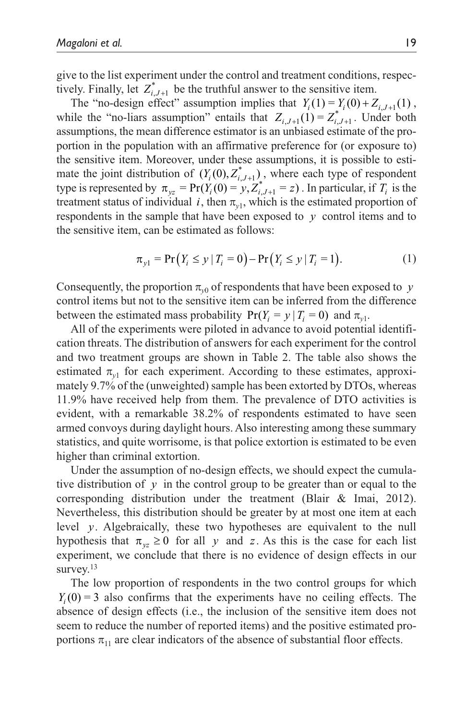give to the list experiment under the control and treatment conditions, respectively. Finally, let  $Z_{i,J+1}^*$  be the truthful answer to the sensitive item.

The "no-design effect" assumption implies that  $Y_i(1) = Y_i(0) + Z_{i,J+1}(1)$ , while the "no-liars assumption" entails that  $Z_{i,J+1}(1) = Z_{i,J+1}^*$ . Under both assumptions, the mean difference estimator is an unbiased estimate of the proportion in the population with an affirmative preference for (or exposure to) the sensitive item. Moreover, under these assumptions, it is possible to estimate the joint distribution of  $(Y_i(0), Z_{i,J+1}^*)$ , where each type of respondent type is represented by  $\pi_{yz} = \Pr(Y_i(0) = y, Z_{i,J+1}^* = z)$ . In particular, if  $T_i$  is the treatment status of individual *i*, then  $\pi_{v1}$ , which is the estimated proportion of respondents in the sample that have been exposed to *y* control items and to the sensitive item, can be estimated as follows:

$$
\pi_{y1} = \Pr(Y_i \le y \mid T_i = 0) - \Pr(Y_i \le y \mid T_i = 1). \tag{1}
$$

Consequently, the proportion  $\pi_{y0}$  of respondents that have been exposed to *y* control items but not to the sensitive item can be inferred from the difference between the estimated mass probability  $Pr(Y_i = y | T_i = 0)$  and  $\pi_{y_i}$ .

All of the experiments were piloted in advance to avoid potential identification threats. The distribution of answers for each experiment for the control and two treatment groups are shown in Table 2. The table also shows the estimated  $\pi_{y1}$  for each experiment. According to these estimates, approximately 9.7% of the (unweighted) sample has been extorted by DTOs, whereas 11.9% have received help from them. The prevalence of DTO activities is evident, with a remarkable 38.2% of respondents estimated to have seen armed convoys during daylight hours. Also interesting among these summary statistics, and quite worrisome, is that police extortion is estimated to be even higher than criminal extortion.

Under the assumption of no-design effects, we should expect the cumulative distribution of  $\gamma$  in the control group to be greater than or equal to the corresponding distribution under the treatment (Blair & Imai, 2012). Nevertheless, this distribution should be greater by at most one item at each level *y*. Algebraically, these two hypotheses are equivalent to the null hypothesis that  $\pi_{yz} \ge 0$  for all *y* and *z*. As this is the case for each list experiment, we conclude that there is no evidence of design effects in our survey.<sup>13</sup>

The low proportion of respondents in the two control groups for which  $Y_i(0) = 3$  also confirms that the experiments have no ceiling effects. The absence of design effects (i.e., the inclusion of the sensitive item does not seem to reduce the number of reported items) and the positive estimated proportions  $\pi_{11}$  are clear indicators of the absence of substantial floor effects.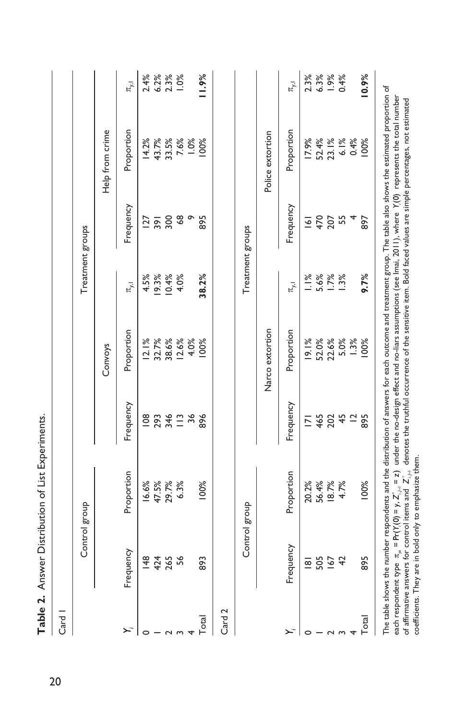| Card I            |                  |                                                                                                                                                                                                                                                                                                                                                                                                                                                                                                                                                                                                           |                 |                         |                  |                |                                       |                            |
|-------------------|------------------|-----------------------------------------------------------------------------------------------------------------------------------------------------------------------------------------------------------------------------------------------------------------------------------------------------------------------------------------------------------------------------------------------------------------------------------------------------------------------------------------------------------------------------------------------------------------------------------------------------------|-----------------|-------------------------|------------------|----------------|---------------------------------------|----------------------------|
|                   |                  | Control group                                                                                                                                                                                                                                                                                                                                                                                                                                                                                                                                                                                             |                 |                         | Treatment groups |                |                                       |                            |
|                   |                  |                                                                                                                                                                                                                                                                                                                                                                                                                                                                                                                                                                                                           |                 | Convoys                 |                  |                | Help from crime                       |                            |
| $\ddot{x}$        | Frequency        | Proportion                                                                                                                                                                                                                                                                                                                                                                                                                                                                                                                                                                                                | Frequency       | Proportion              | $\pi_{y,1}$      | Frequency      | Proportion                            | $\pi_{y,1}$                |
| ⌒                 | $\frac{48}{5}$   | 16.6%                                                                                                                                                                                                                                                                                                                                                                                                                                                                                                                                                                                                     | $\frac{80}{2}$  | 12.1%                   |                  | <u>127</u>     | 14.2%                                 | 2.4%                       |
|                   |                  | 47.5%                                                                                                                                                                                                                                                                                                                                                                                                                                                                                                                                                                                                     | 293             |                         | 4.5%<br>19.3%    | 391            |                                       |                            |
|                   | 424<br>265<br>56 | 29.7%                                                                                                                                                                                                                                                                                                                                                                                                                                                                                                                                                                                                     | 346             | 32.7%<br>38.6%<br>12.6% | $10.4%$<br>4.0%  | 300            | $43.7%$<br>$7.6%$<br>$7.6%$<br>$1.0%$ | $6.2%$<br>$2.3%$<br>$1.0%$ |
|                   |                  | 6.3%                                                                                                                                                                                                                                                                                                                                                                                                                                                                                                                                                                                                      | $\frac{13}{56}$ |                         |                  | $\frac{8}{6}$  |                                       |                            |
|                   |                  |                                                                                                                                                                                                                                                                                                                                                                                                                                                                                                                                                                                                           |                 | 4.0%                    |                  | Ō              |                                       |                            |
| Total             | 893              | 100%                                                                                                                                                                                                                                                                                                                                                                                                                                                                                                                                                                                                      | 896             | 00%                     | 38.2%            | 895            | 100%                                  | 11.9%                      |
| Card <sub>2</sub> |                  |                                                                                                                                                                                                                                                                                                                                                                                                                                                                                                                                                                                                           |                 |                         |                  |                |                                       |                            |
|                   |                  | Control group                                                                                                                                                                                                                                                                                                                                                                                                                                                                                                                                                                                             |                 |                         | Treatment groups |                |                                       |                            |
|                   |                  |                                                                                                                                                                                                                                                                                                                                                                                                                                                                                                                                                                                                           |                 | Narco extortion         |                  |                | Police extortion                      |                            |
| Σ                 | Frequency        | Proportion                                                                                                                                                                                                                                                                                                                                                                                                                                                                                                                                                                                                | Frequency       | Proportion              | $\pi_{y,1}$      | Frequency      | Proportion                            | $\bar{\pi}_{y,1}$          |
|                   | $\frac{1}{8}$    | 20.2%                                                                                                                                                                                                                                                                                                                                                                                                                                                                                                                                                                                                     | $\overline{2}$  | 19.1%                   | 1.1%             | $\overline{5}$ |                                       | 2.3%                       |
|                   | 505              | 56.4%                                                                                                                                                                                                                                                                                                                                                                                                                                                                                                                                                                                                     | 465             |                         |                  | 470            | $\frac{17.9%}{52.4%}$                 |                            |
|                   |                  | 18.7%                                                                                                                                                                                                                                                                                                                                                                                                                                                                                                                                                                                                     | 202             | 52.0%<br>22.6%          | 5.6%<br>1.7%     | 207            |                                       | $6.3%$<br>$1.9%$           |
|                   | $\overline{4}$   | 4.7%                                                                                                                                                                                                                                                                                                                                                                                                                                                                                                                                                                                                      | 45              | 5.0%                    | 1.3%             | 55             |                                       | 0.4%                       |
|                   |                  |                                                                                                                                                                                                                                                                                                                                                                                                                                                                                                                                                                                                           | $\overline{a}$  | 1.3%                    |                  |                | $6.1%$<br>0.4%                        |                            |
| Total             | 895              | 100%                                                                                                                                                                                                                                                                                                                                                                                                                                                                                                                                                                                                      | 895             | 100%                    | 9.7%             | 897            | 100%                                  | 10.9%                      |
|                   |                  | The table shows the number respondents and the distribution of answers for each outcome and treatment group. The table also shows the estimated proportion of<br>each respondent type $\pi_{r_\pi}$ = Pr(Y,(0) = y, Z $_{r_\pi}^*$ = z) under the no-design effect and no-liars assumptions (see lmai, 2011), where Y,(0) represents the total number<br>of affirmative answers for control items and $\, \mathsf{Z}^*_{i,n} \,$ denotes the truthful occurrence of the sensitive item. Bold faced values are simple percentages, not estimated<br>coefficients. They are in bold only to emphasize them. |                 |                         |                  |                |                                       |                            |

Table 2. Answer Distribution of List Experiments. **Table 2.** Answer Distribution of List Experiments.

20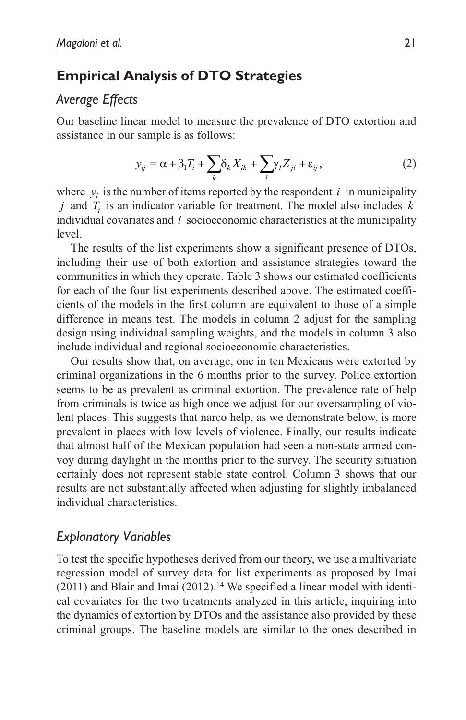# **Empirical Analysis of DTO Strategies**

# *Average Effects*

Our baseline linear model to measure the prevalence of DTO extortion and assistance in our sample is as follows:

$$
y_{ij} = \alpha + \beta_1 T_i + \sum_k \delta_k X_{ik} + \sum_l \gamma_l Z_{jl} + \varepsilon_{ij},
$$
 (2)

where  $y_i$  is the number of items reported by the respondent  $i$  in municipality *j* and *Ti* is an indicator variable for treatment. The model also includes *k* individual covariates and *l* socioeconomic characteristics at the municipality level.

The results of the list experiments show a significant presence of DTOs, including their use of both extortion and assistance strategies toward the communities in which they operate. Table 3 shows our estimated coefficients for each of the four list experiments described above. The estimated coefficients of the models in the first column are equivalent to those of a simple difference in means test. The models in column 2 adjust for the sampling design using individual sampling weights, and the models in column 3 also include individual and regional socioeconomic characteristics.

Our results show that, on average, one in ten Mexicans were extorted by criminal organizations in the 6 months prior to the survey. Police extortion seems to be as prevalent as criminal extortion. The prevalence rate of help from criminals is twice as high once we adjust for our oversampling of violent places. This suggests that narco help, as we demonstrate below, is more prevalent in places with low levels of violence. Finally, our results indicate that almost half of the Mexican population had seen a non-state armed convoy during daylight in the months prior to the survey. The security situation certainly does not represent stable state control. Column 3 shows that our results are not substantially affected when adjusting for slightly imbalanced individual characteristics.

# *Explanatory Variables*

To test the specific hypotheses derived from our theory, we use a multivariate regression model of survey data for list experiments as proposed by Imai  $(2011)$  and Blair and Imai  $(2012)$ .<sup>14</sup> We specified a linear model with identical covariates for the two treatments analyzed in this article, inquiring into the dynamics of extortion by DTOs and the assistance also provided by these criminal groups. The baseline models are similar to the ones described in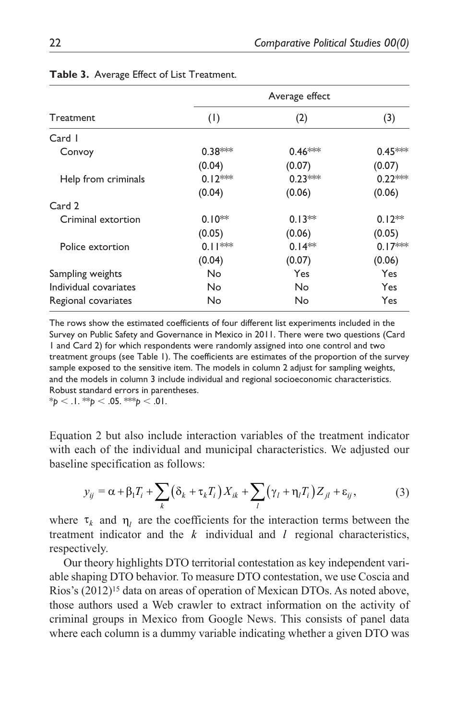|                       |           | Average effect |           |
|-----------------------|-----------|----------------|-----------|
| Treatment             | (1)       | (2)            | (3)       |
| Card I                |           |                |           |
| Convoy                | $0.38***$ | $0.46***$      | $0.45***$ |
|                       | (0.04)    | (0.07)         | (0.07)    |
| Help from criminals   | $0.12***$ | $0.23***$      | $0.22***$ |
|                       | (0.04)    | (0.06)         | (0.06)    |
| Card 2                |           |                |           |
| Criminal extortion    | $0.10**$  | $0.13**$       | $0.12**$  |
|                       | (0.05)    | (0.06)         | (0.05)    |
| Police extortion      | $0.11***$ | $0.14**$       | $0.17***$ |
|                       | (0.04)    | (0.07)         | (0.06)    |
| Sampling weights      | No        | Yes            | Yes       |
| Individual covariates | No        | No             | Yes       |
| Regional covariates   | No        | No             | Yes       |

#### **Table 3.** Average Effect of List Treatment.

The rows show the estimated coefficients of four different list experiments included in the Survey on Public Safety and Governance in Mexico in 2011. There were two questions (Card 1 and Card 2) for which respondents were randomly assigned into one control and two treatment groups (see Table 1). The coefficients are estimates of the proportion of the survey sample exposed to the sensitive item. The models in column 2 adjust for sampling weights, and the models in column 3 include individual and regional socioeconomic characteristics. Robust standard errors in parentheses.

 $*_{p}$  < .1.  $*_{p}$  < .05.  $*_{p}$  < .01.

Equation 2 but also include interaction variables of the treatment indicator with each of the individual and municipal characteristics. We adjusted our baseline specification as follows:

$$
y_{ij} = \alpha + \beta_1 T_i + \sum_k (\delta_k + \tau_k T_i) X_{ik} + \sum_l (\gamma_l + \eta_l T_i) Z_{jl} + \varepsilon_{ij},
$$
 (3)

where  $\tau_k$  and  $\eta_l$  are the coefficients for the interaction terms between the treatment indicator and the *k* individual and *l* regional characteristics, respectively.

Our theory highlights DTO territorial contestation as key independent variable shaping DTO behavior. To measure DTO contestation, we use Coscia and Rios's  $(2012)^{15}$  data on areas of operation of Mexican DTOs. As noted above, those authors used a Web crawler to extract information on the activity of criminal groups in Mexico from Google News. This consists of panel data where each column is a dummy variable indicating whether a given DTO was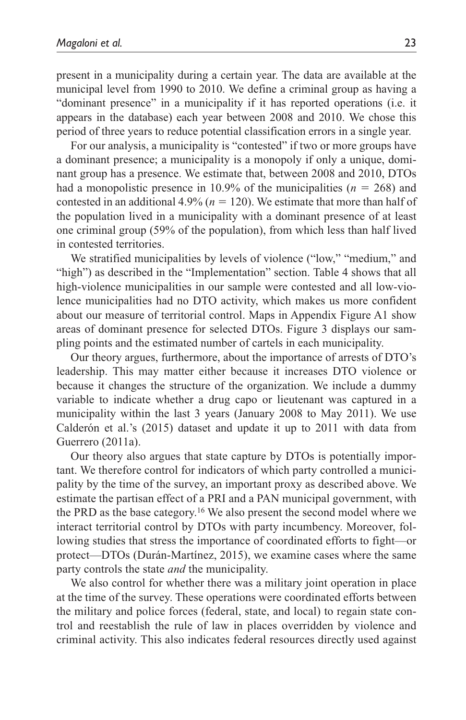present in a municipality during a certain year. The data are available at the municipal level from 1990 to 2010. We define a criminal group as having a "dominant presence" in a municipality if it has reported operations (i.e. it appears in the database) each year between 2008 and 2010. We chose this period of three years to reduce potential classification errors in a single year.

For our analysis, a municipality is "contested" if two or more groups have a dominant presence; a municipality is a monopoly if only a unique, dominant group has a presence. We estimate that, between 2008 and 2010, DTOs had a monopolistic presence in 10.9% of the municipalities ( $n = 268$ ) and contested in an additional  $4.9\%$  ( $n = 120$ ). We estimate that more than half of the population lived in a municipality with a dominant presence of at least one criminal group (59% of the population), from which less than half lived in contested territories.

We stratified municipalities by levels of violence ("low," "medium," and "high") as described in the "Implementation" section. Table 4 shows that all high-violence municipalities in our sample were contested and all low-violence municipalities had no DTO activity, which makes us more confident about our measure of territorial control. Maps in Appendix Figure A1 show areas of dominant presence for selected DTOs. Figure 3 displays our sampling points and the estimated number of cartels in each municipality.

Our theory argues, furthermore, about the importance of arrests of DTO's leadership. This may matter either because it increases DTO violence or because it changes the structure of the organization. We include a dummy variable to indicate whether a drug capo or lieutenant was captured in a municipality within the last 3 years (January 2008 to May 2011). We use Calderón et al.'s (2015) dataset and update it up to 2011 with data from Guerrero (2011a).

Our theory also argues that state capture by DTOs is potentially important. We therefore control for indicators of which party controlled a municipality by the time of the survey, an important proxy as described above. We estimate the partisan effect of a PRI and a PAN municipal government, with the PRD as the base category.16 We also present the second model where we interact territorial control by DTOs with party incumbency. Moreover, following studies that stress the importance of coordinated efforts to fight—or protect—DTOs (Durán-Martínez, 2015), we examine cases where the same party controls the state *and* the municipality.

We also control for whether there was a military joint operation in place at the time of the survey. These operations were coordinated efforts between the military and police forces (federal, state, and local) to regain state control and reestablish the rule of law in places overridden by violence and criminal activity. This also indicates federal resources directly used against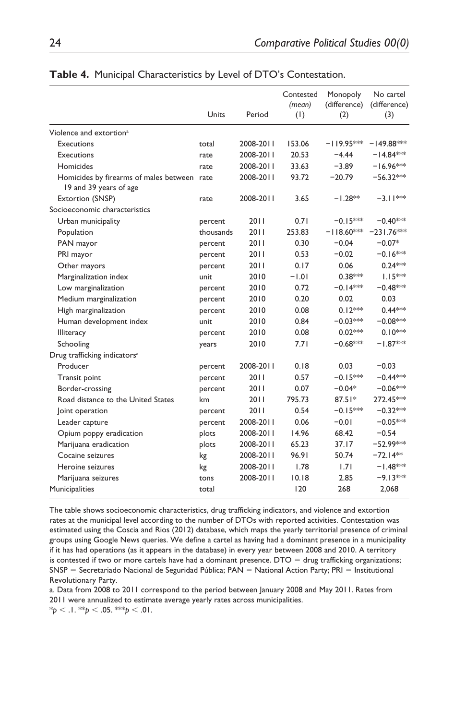|                                                                       | Units     | Period    | Contested<br>(mean)<br>(1) | Monopoly<br>(difference)<br>(2) | No cartel<br>(difference)<br>(3) |
|-----------------------------------------------------------------------|-----------|-----------|----------------------------|---------------------------------|----------------------------------|
| Violence and extortion <sup>a</sup>                                   |           |           |                            |                                 |                                  |
| <b>Executions</b>                                                     | total     | 2008-2011 | 153.06                     | $-119.95***$                    | $-149.88***$                     |
| <b>Executions</b>                                                     | rate      | 2008-2011 | 20.53                      | $-4.44$                         | $-14.84***$                      |
| Homicides                                                             | rate      | 2008-2011 | 33.63                      | $-3.89$                         | $-16.96***$                      |
| Homicides by firearms of males between rate<br>19 and 39 years of age |           | 2008-2011 | 93.72                      | $-20.79$                        | $-56.32***$                      |
| Extortion (SNSP)                                                      | rate      | 2008-2011 | 3.65                       | $-1.28**$                       | $-3.11***$                       |
| Socioeconomic characteristics                                         |           |           |                            |                                 |                                  |
| Urban municipality                                                    | percent   | 2011      | 0.71                       | $-0.15***$                      | $-0.40***$                       |
| Population                                                            | thousands | 2011      | 253.83                     | $-118.60***$                    | $-231.76***$                     |
| PAN mayor                                                             | percent   | 2011      | 0.30                       | $-0.04$                         | $-0.07*$                         |
| PRI mayor                                                             | percent   | 2011      | 0.53                       | $-0.02$                         | $-0.16***$                       |
| Other mayors                                                          | percent   | 2011      | 0.17                       | 0.06                            | $0.24***$                        |
| Marginalization index                                                 | unit      | 2010      | $-1.01$                    | $0.38***$                       | $1.15***$                        |
| Low marginalization                                                   | percent   | 2010      | 0.72                       | $-0.14***$                      | $-0.48***$                       |
| Medium marginalization                                                | percent   | 2010      | 0.20                       | 0.02                            | 0.03                             |
| High marginalization                                                  | percent   | 2010      | 0.08                       | $0.12***$                       | $0.44***$                        |
| Human development index                                               | unit      | 2010      | 0.84                       | $-0.03***$                      | $-0.08***$                       |
| Illiteracy                                                            | percent   | 2010      | 0.08                       | $0.02***$                       | $0.10***$                        |
| Schooling                                                             | years     | 2010      | 7.71                       | $-0.68***$                      | $-1.87***$                       |
| Drug trafficking indicators <sup>a</sup>                              |           |           |                            |                                 |                                  |
| Producer                                                              | percent   | 2008-2011 | 0.18                       | 0.03                            | $-0.03$                          |
| Transit point                                                         | percent   | 2011      | 0.57                       | $-0.15***$                      | $-0.44***$                       |
| Border-crossing                                                       | percent   | 2011      | 0.07                       | $-0.04*$                        | $-0.06***$                       |
| Road distance to the United States                                    | km        | 2011      | 795.73                     | $87.51*$                        | 272.45***                        |
| oint operation                                                        | percent   | 2011      | 0.54                       | $-0.15***$                      | $-0.32***$                       |
| Leader capture                                                        | percent   | 2008-2011 | 0.06                       | $-0.01$                         | $-0.05***$                       |
| Opium poppy eradication                                               | plots     | 2008-2011 | 14.96                      | 68.42                           | $-0.54$                          |
| Marijuana eradication                                                 | plots     | 2008-2011 | 65.23                      | 37.17                           | $-52.99***$                      |
| Cocaine seizures                                                      | kg        | 2008-2011 | 96.91                      | 50.74                           | $-72.14**$                       |
| Heroine seizures                                                      | kg        | 2008-2011 | 1.78                       | 1.71                            | $-1.48***$                       |
| Marijuana seizures                                                    | tons      | 2008-2011 | 10.18                      | 2.85                            | $-9.13***$                       |
| Municipalities                                                        | total     |           | 120                        | 268                             | 2,068                            |

#### **Table 4.** Municipal Characteristics by Level of DTO's Contestation.

The table shows socioeconomic characteristics, drug trafficking indicators, and violence and extortion rates at the municipal level according to the number of DTOs with reported activities. Contestation was estimated using the Coscia and Rios (2012) database, which maps the yearly territorial presence of criminal groups using Google News queries. We define a cartel as having had a dominant presence in a municipality if it has had operations (as it appears in the database) in every year between 2008 and 2010. A territory is contested if two or more cartels have had a dominant presence.  $DTO =$  drug trafficking organizations; SNSP = Secretariado Nacional de Seguridad Pública; PAN = National Action Party; PRI = Institutional Revolutionary Party.

a. Data from 2008 to 2011 correspond to the period between January 2008 and May 2011. Rates from 2011 were annualized to estimate average yearly rates across municipalities.

 $*_{p}$  < .1.  $*_{p}$  < .05.  $*_{p}$  < .01.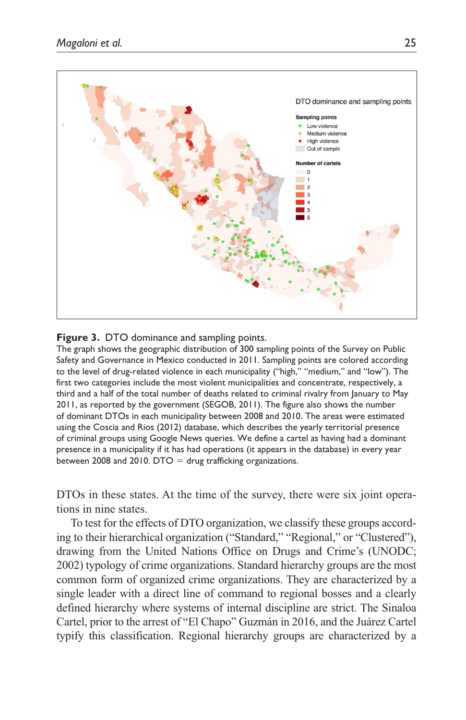

#### **Figure 3.** DTO dominance and sampling points.

The graph shows the geographic distribution of 300 sampling points of the Survey on Public Safety and Governance in Mexico conducted in 2011. Sampling points are colored according to the level of drug-related violence in each municipality ("high," "medium," and "low"). The first two categories include the most violent municipalities and concentrate, respectively, a third and a half of the total number of deaths related to criminal rivalry from January to May 2011, as reported by the government (SEGOB, 2011). The figure also shows the number of dominant DTOs in each municipality between 2008 and 2010. The areas were estimated using the Coscia and Rios (2012) database, which describes the yearly territorial presence of criminal groups using Google News queries. We define a cartel as having had a dominant presence in a municipality if it has had operations (it appears in the database) in every year between 2008 and 2010. DTO  $=$  drug trafficking organizations.

DTOs in these states. At the time of the survey, there were six joint operations in nine states.

To test for the effects of DTO organization, we classify these groups according to their hierarchical organization ("Standard," "Regional," or "Clustered"), drawing from the United Nations Office on Drugs and Crime's (UNODC; 2002) typology of crime organizations. Standard hierarchy groups are the most common form of organized crime organizations. They are characterized by a single leader with a direct line of command to regional bosses and a clearly defined hierarchy where systems of internal discipline are strict. The Sinaloa Cartel, prior to the arrest of "El Chapo" Guzmán in 2016, and the Juárez Cartel typify this classification. Regional hierarchy groups are characterized by a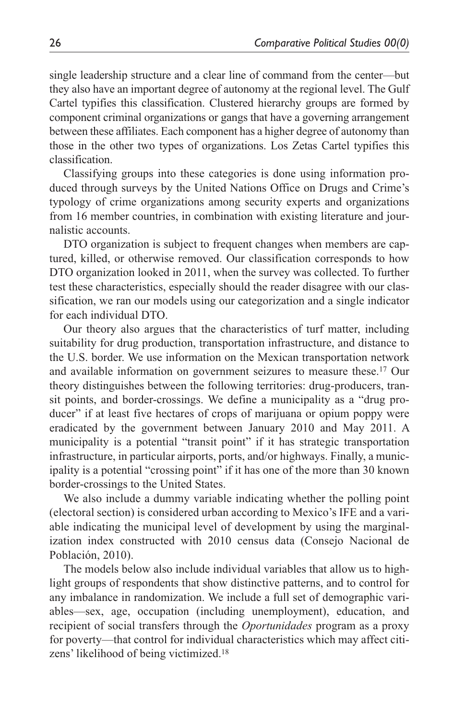single leadership structure and a clear line of command from the center—but they also have an important degree of autonomy at the regional level. The Gulf Cartel typifies this classification. Clustered hierarchy groups are formed by component criminal organizations or gangs that have a governing arrangement between these affiliates. Each component has a higher degree of autonomy than those in the other two types of organizations. Los Zetas Cartel typifies this classification.

Classifying groups into these categories is done using information produced through surveys by the United Nations Office on Drugs and Crime's typology of crime organizations among security experts and organizations from 16 member countries, in combination with existing literature and journalistic accounts.

DTO organization is subject to frequent changes when members are captured, killed, or otherwise removed. Our classification corresponds to how DTO organization looked in 2011, when the survey was collected. To further test these characteristics, especially should the reader disagree with our classification, we ran our models using our categorization and a single indicator for each individual DTO.

Our theory also argues that the characteristics of turf matter, including suitability for drug production, transportation infrastructure, and distance to the U.S. border. We use information on the Mexican transportation network and available information on government seizures to measure these.17 Our theory distinguishes between the following territories: drug-producers, transit points, and border-crossings. We define a municipality as a "drug producer" if at least five hectares of crops of marijuana or opium poppy were eradicated by the government between January 2010 and May 2011. A municipality is a potential "transit point" if it has strategic transportation infrastructure, in particular airports, ports, and/or highways. Finally, a municipality is a potential "crossing point" if it has one of the more than 30 known border-crossings to the United States.

We also include a dummy variable indicating whether the polling point (electoral section) is considered urban according to Mexico's IFE and a variable indicating the municipal level of development by using the marginalization index constructed with 2010 census data (Consejo Nacional de Población, 2010).

The models below also include individual variables that allow us to highlight groups of respondents that show distinctive patterns, and to control for any imbalance in randomization. We include a full set of demographic variables—sex, age, occupation (including unemployment), education, and recipient of social transfers through the *Oportunidades* program as a proxy for poverty—that control for individual characteristics which may affect citizens' likelihood of being victimized.18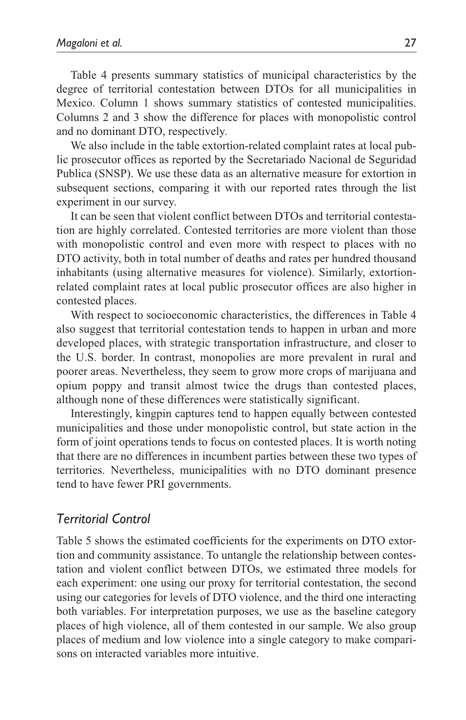Table 4 presents summary statistics of municipal characteristics by the degree of territorial contestation between DTOs for all municipalities in Mexico. Column 1 shows summary statistics of contested municipalities. Columns 2 and 3 show the difference for places with monopolistic control and no dominant DTO, respectively.

We also include in the table extortion-related complaint rates at local public prosecutor offices as reported by the Secretariado Nacional de Seguridad Publica (SNSP). We use these data as an alternative measure for extortion in subsequent sections, comparing it with our reported rates through the list experiment in our survey.

It can be seen that violent conflict between DTOs and territorial contestation are highly correlated. Contested territories are more violent than those with monopolistic control and even more with respect to places with no DTO activity, both in total number of deaths and rates per hundred thousand inhabitants (using alternative measures for violence). Similarly, extortionrelated complaint rates at local public prosecutor offices are also higher in contested places.

With respect to socioeconomic characteristics, the differences in Table 4 also suggest that territorial contestation tends to happen in urban and more developed places, with strategic transportation infrastructure, and closer to the U.S. border. In contrast, monopolies are more prevalent in rural and poorer areas. Nevertheless, they seem to grow more crops of marijuana and opium poppy and transit almost twice the drugs than contested places, although none of these differences were statistically significant.

Interestingly, kingpin captures tend to happen equally between contested municipalities and those under monopolistic control, but state action in the form of joint operations tends to focus on contested places. It is worth noting that there are no differences in incumbent parties between these two types of territories. Nevertheless, municipalities with no DTO dominant presence tend to have fewer PRI governments.

# *Territorial Control*

Table 5 shows the estimated coefficients for the experiments on DTO extortion and community assistance. To untangle the relationship between contestation and violent conflict between DTOs, we estimated three models for each experiment: one using our proxy for territorial contestation, the second using our categories for levels of DTO violence, and the third one interacting both variables. For interpretation purposes, we use as the baseline category places of high violence, all of them contested in our sample. We also group places of medium and low violence into a single category to make comparisons on interacted variables more intuitive.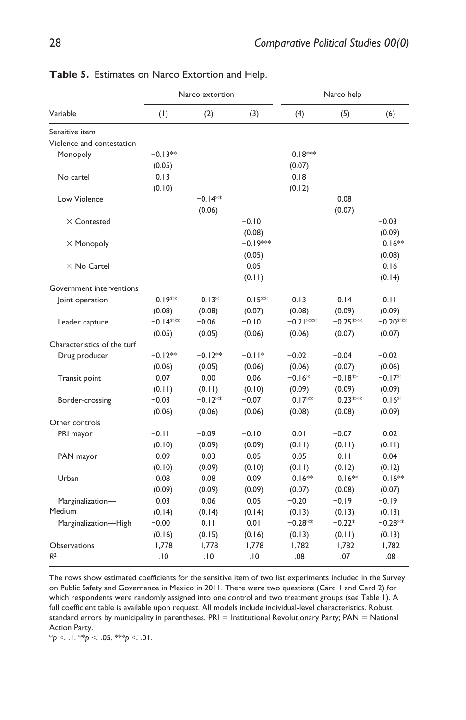|                             |                   | Narco extortion     |            |            | Narco help |            |
|-----------------------------|-------------------|---------------------|------------|------------|------------|------------|
| Variable                    | (1)               | (2)                 | (3)        | (4)        | (5)        | (6)        |
| Sensitive item              |                   |                     |            |            |            |            |
| Violence and contestation   |                   |                     |            |            |            |            |
| Monopoly                    | $-0.13**$         |                     |            | $0.18***$  |            |            |
|                             | (0.05)            |                     |            | (0.07)     |            |            |
| No cartel                   | 0.13              |                     |            | 0.18       |            |            |
|                             | (0.10)            |                     |            | (0.12)     |            |            |
| Low Violence                |                   | $-0.14**$           |            |            | 0.08       |            |
|                             |                   | (0.06)              |            |            | (0.07)     |            |
| $\times$ Contested          |                   |                     | $-0.10$    |            |            | $-0.03$    |
|                             |                   |                     | (0.08)     |            |            | (0.09)     |
| $\times$ Monopoly           |                   |                     | $-0.19***$ |            |            | $0.16**$   |
|                             |                   |                     | (0.05)     |            |            | (0.08)     |
| $\times$ No Cartel          |                   |                     | 0.05       |            |            | 0.16       |
|                             |                   |                     | (0.11)     |            |            | (0.14)     |
| Government interventions    |                   |                     |            |            |            |            |
| oint operation              | $0.19**$          | $0.13*$             | $0.15**$   | 0.13       | 0.14       | 0.11       |
|                             | (0.08)            | (0.08)              | (0.07)     | (0.08)     | (0.09)     | (0.09)     |
| Leader capture              | $-0.14***$        | $-0.06$             | $-0.10$    | $-0.21***$ | $-0.25***$ | $-0.20***$ |
|                             | (0.05)            | (0.05)              | (0.06)     | (0.06)     | (0.07)     | (0.07)     |
| Characteristics of the turf |                   |                     |            |            |            |            |
| Drug producer               | $-0.12**$         | $-0.12**$           | $-0.11*$   | $-0.02$    | $-0.04$    | $-0.02$    |
|                             | (0.06)            | (0.05)              | (0.06)     | (0.06)     | (0.07)     | (0.06)     |
| <b>Transit point</b>        | 0.07              | 0.00                | 0.06       | $-0.16*$   | $-0.18**$  | $-0.17*$   |
|                             |                   |                     | (0.10)     | (0.09)     | (0.09)     |            |
|                             | (0.11)<br>$-0.03$ | (0.11)<br>$-0.12**$ | $-0.07$    | $0.17**$   | $0.23***$  | (0.09)     |
| Border-crossing             |                   |                     |            |            |            | $0.16*$    |
|                             | (0.06)            | (0.06)              | (0.06)     | (0.08)     | (0.08)     | (0.09)     |
| Other controls              |                   |                     |            |            |            |            |
| PRI mayor                   | $-0.11$           | $-0.09$             | $-0.10$    | 0.01       | $-0.07$    | 0.02       |
|                             | (0.10)            | (0.09)              | (0.09)     | (0.11)     | (0.11)     | (0.11)     |
| PAN mayor                   | $-0.09$           | $-0.03$             | $-0.05$    | $-0.05$    | $-0.11$    | $-0.04$    |
|                             | (0.10)            | (0.09)              | (0.10)     | (0.11)     | (0.12)     | (0.12)     |
| Urban                       | 0.08              | 0.08                | 0.09       | $0.16**$   | $0.16***$  | $0.16**$   |
|                             | (0.09)            | (0.09)              | (0.09)     | (0.07)     | (0.08)     | (0.07)     |
| Marginalization-            | 0.03              | 0.06                | 0.05       | $-0.20$    | $-0.19$    | $-0.19$    |
| Medium                      | (0.14)            | (0.14)              | (0.14)     | (0.13)     | (0.13)     | (0.13)     |
| Marginalization-High        | $-0.00$           | 0.11                | 0.01       | $-0.28**$  | $-0.22*$   | $-0.28**$  |
|                             | (0.16)            | (0.15)              | (0.16)     | (0.13)     | (0.11)     | (0.13)     |
| <b>Observations</b>         | 1.778             | 1.778               | 1.778      | 1.782      | 1,782      | 1.782      |
| R <sup>2</sup>              | .10               | .10                 | .10        | .08        | .07        | .08        |

#### **Table 5.** Estimates on Narco Extortion and Help.

The rows show estimated coefficients for the sensitive item of two list experiments included in the Survey on Public Safety and Governance in Mexico in 2011. There were two questions (Card 1 and Card 2) for which respondents were randomly assigned into one control and two treatment groups (see Table 1). A full coefficient table is available upon request. All models include individual-level characteristics. Robust standard errors by municipality in parentheses. PRI = Institutional Revolutionary Party; PAN = National Action Party.

\**p* < .1. \*\**p* < .05. \*\*\**p* < .01.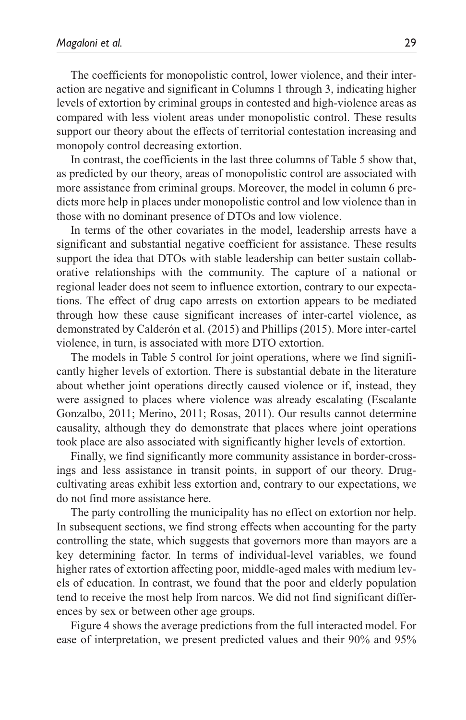The coefficients for monopolistic control, lower violence, and their interaction are negative and significant in Columns 1 through 3, indicating higher levels of extortion by criminal groups in contested and high-violence areas as compared with less violent areas under monopolistic control. These results support our theory about the effects of territorial contestation increasing and monopoly control decreasing extortion.

In contrast, the coefficients in the last three columns of Table 5 show that, as predicted by our theory, areas of monopolistic control are associated with more assistance from criminal groups. Moreover, the model in column 6 predicts more help in places under monopolistic control and low violence than in those with no dominant presence of DTOs and low violence.

In terms of the other covariates in the model, leadership arrests have a significant and substantial negative coefficient for assistance. These results support the idea that DTOs with stable leadership can better sustain collaborative relationships with the community. The capture of a national or regional leader does not seem to influence extortion, contrary to our expectations. The effect of drug capo arrests on extortion appears to be mediated through how these cause significant increases of inter-cartel violence, as demonstrated by Calderón et al. (2015) and Phillips (2015). More inter-cartel violence, in turn, is associated with more DTO extortion.

The models in Table 5 control for joint operations, where we find significantly higher levels of extortion. There is substantial debate in the literature about whether joint operations directly caused violence or if, instead, they were assigned to places where violence was already escalating (Escalante Gonzalbo, 2011; Merino, 2011; Rosas, 2011). Our results cannot determine causality, although they do demonstrate that places where joint operations took place are also associated with significantly higher levels of extortion.

Finally, we find significantly more community assistance in border-crossings and less assistance in transit points, in support of our theory. Drugcultivating areas exhibit less extortion and, contrary to our expectations, we do not find more assistance here.

The party controlling the municipality has no effect on extortion nor help. In subsequent sections, we find strong effects when accounting for the party controlling the state, which suggests that governors more than mayors are a key determining factor. In terms of individual-level variables, we found higher rates of extortion affecting poor, middle-aged males with medium levels of education. In contrast, we found that the poor and elderly population tend to receive the most help from narcos. We did not find significant differences by sex or between other age groups.

Figure 4 shows the average predictions from the full interacted model. For ease of interpretation, we present predicted values and their 90% and 95%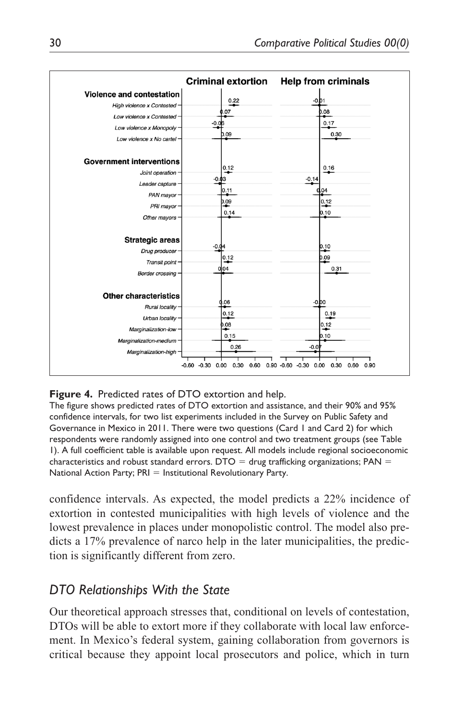

### **Figure 4.** Predicted rates of DTO extortion and help.

The figure shows predicted rates of DTO extortion and assistance, and their 90% and 95% confidence intervals, for two list experiments included in the Survey on Public Safety and Governance in Mexico in 2011. There were two questions (Card 1 and Card 2) for which respondents were randomly assigned into one control and two treatment groups (see Table 1). A full coefficient table is available upon request. All models include regional socioeconomic characteristics and robust standard errors.  $DTO =$  drug trafficking organizations;  $PAN =$ National Action Party; PRI = Institutional Revolutionary Party.

confidence intervals. As expected, the model predicts a 22% incidence of extortion in contested municipalities with high levels of violence and the lowest prevalence in places under monopolistic control. The model also predicts a 17% prevalence of narco help in the later municipalities, the prediction is significantly different from zero.

# *DTO Relationships With the State*

Our theoretical approach stresses that, conditional on levels of contestation, DTOs will be able to extort more if they collaborate with local law enforcement. In Mexico's federal system, gaining collaboration from governors is critical because they appoint local prosecutors and police, which in turn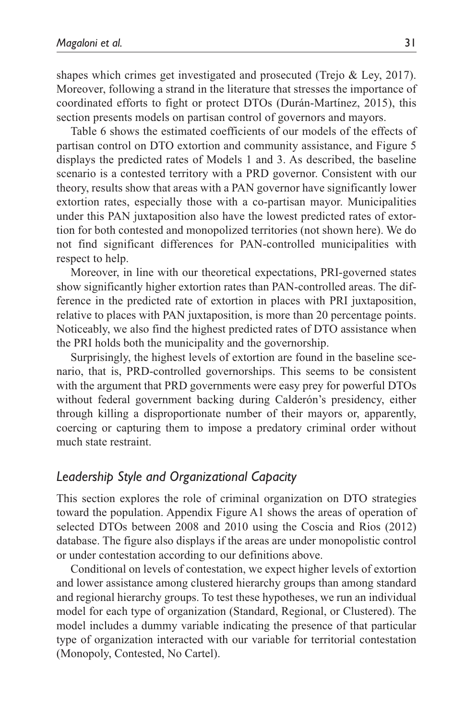shapes which crimes get investigated and prosecuted (Trejo & Ley, 2017). Moreover, following a strand in the literature that stresses the importance of coordinated efforts to fight or protect DTOs (Durán-Martínez, 2015), this section presents models on partisan control of governors and mayors.

Table 6 shows the estimated coefficients of our models of the effects of partisan control on DTO extortion and community assistance, and Figure 5 displays the predicted rates of Models 1 and 3. As described, the baseline scenario is a contested territory with a PRD governor. Consistent with our theory, results show that areas with a PAN governor have significantly lower extortion rates, especially those with a co-partisan mayor. Municipalities under this PAN juxtaposition also have the lowest predicted rates of extortion for both contested and monopolized territories (not shown here). We do not find significant differences for PAN-controlled municipalities with respect to help.

Moreover, in line with our theoretical expectations, PRI-governed states show significantly higher extortion rates than PAN-controlled areas. The difference in the predicted rate of extortion in places with PRI juxtaposition, relative to places with PAN juxtaposition, is more than 20 percentage points. Noticeably, we also find the highest predicted rates of DTO assistance when the PRI holds both the municipality and the governorship.

Surprisingly, the highest levels of extortion are found in the baseline scenario, that is, PRD-controlled governorships. This seems to be consistent with the argument that PRD governments were easy prey for powerful DTOs without federal government backing during Calderón's presidency, either through killing a disproportionate number of their mayors or, apparently, coercing or capturing them to impose a predatory criminal order without much state restraint.

# *Leadership Style and Organizational Capacity*

This section explores the role of criminal organization on DTO strategies toward the population. Appendix Figure A1 shows the areas of operation of selected DTOs between 2008 and 2010 using the Coscia and Rios (2012) database. The figure also displays if the areas are under monopolistic control or under contestation according to our definitions above.

Conditional on levels of contestation, we expect higher levels of extortion and lower assistance among clustered hierarchy groups than among standard and regional hierarchy groups. To test these hypotheses, we run an individual model for each type of organization (Standard, Regional, or Clustered). The model includes a dummy variable indicating the presence of that particular type of organization interacted with our variable for territorial contestation (Monopoly, Contested, No Cartel).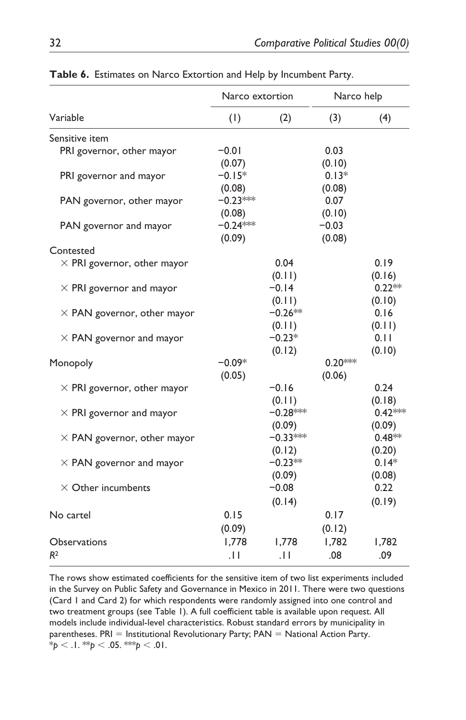|                                    | Narco extortion                |                             | Narco help                  |                          |
|------------------------------------|--------------------------------|-----------------------------|-----------------------------|--------------------------|
| Variable                           | (1)                            | (2)                         | (3)                         | (4)                      |
| Sensitive item                     |                                |                             |                             |                          |
| PRI governor, other mayor          | $-0.01$<br>(0.07)              |                             | 0.03<br>(0.10)              |                          |
| PRI governor and mayor             | $-0.15*$                       |                             | $0.13*$                     |                          |
| PAN governor, other mayor          | (0.08)<br>$-0.23***$           |                             | (0.08)<br>0.07              |                          |
| PAN governor and mayor             | (0.08)<br>$-0.24***$<br>(0.09) |                             | (0.10)<br>$-0.03$<br>(0.08) |                          |
| Contested                          |                                |                             |                             |                          |
| $\times$ PRI governor, other mayor |                                | 0.04<br>(0.11)              |                             | 0.19<br>(0.16)           |
| $\times$ PRI governor and mayor    |                                | $-0.14$<br>(0.11)           |                             | $0.22**$<br>(0.10)       |
| $\times$ PAN governor, other mayor |                                | $-0.26**$<br>(0.11)         |                             | 0.16<br>(0.11)           |
| $\times$ PAN governor and mayor    |                                | $-0.23*$                    |                             | 0.11                     |
| Monopoly                           | $-0.09*$<br>(0.05)             | (0.12)                      | $0.20***$<br>(0.06)         | (0.10)                   |
| $\times$ PRI governor, other mayor |                                | $-0.16$<br>(0.11)           |                             | 0.24<br>(0.18)           |
| $\times$ PRI governor and mayor    |                                | $-0.28***$<br>(0.09)        |                             | $0.42***$<br>(0.09)      |
| $\times$ PAN governor, other mayor |                                | $-0.33***$<br>(0.12)        |                             | $0.48**$<br>(0.20)       |
| $\times$ PAN governor and mayor    |                                | $-0.23**$                   |                             | $0.14*$                  |
| $\times$ Other incumbents          |                                | (0.09)<br>$-0.08$<br>(0.14) |                             | (0.08)<br>0.22<br>(0.19) |
| No cartel                          | 0.15                           |                             | 0.17                        |                          |
| Observations                       | (0.09)<br>1,778                | 1,778                       | (0.12)<br>1,782             | 1,782                    |
| R <sup>2</sup>                     | $\cdot$ II                     | $\cdot$ 1                   | .08                         | .09                      |

**Table 6.** Estimates on Narco Extortion and Help by Incumbent Party.

The rows show estimated coefficients for the sensitive item of two list experiments included in the Survey on Public Safety and Governance in Mexico in 2011. There were two questions (Card 1 and Card 2) for which respondents were randomly assigned into one control and two treatment groups (see Table 1). A full coefficient table is available upon request. All models include individual-level characteristics. Robust standard errors by municipality in parentheses.  $PRI =$  Institutional Revolutionary Party;  $PAN =$  National Action Party. \**p* < .1. \*\**p* < .05. \*\*\**p* < .01.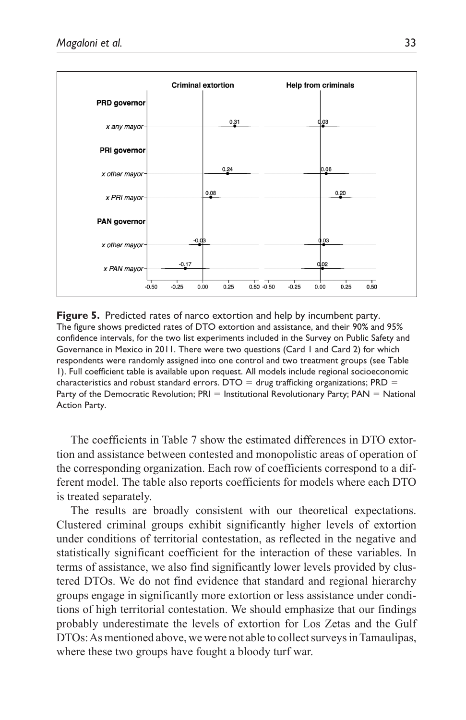

**Figure 5.** Predicted rates of narco extortion and help by incumbent party. The figure shows predicted rates of DTO extortion and assistance, and their 90% and 95% confidence intervals, for the two list experiments included in the Survey on Public Safety and Governance in Mexico in 2011. There were two questions (Card 1 and Card 2) for which respondents were randomly assigned into one control and two treatment groups (see Table 1). Full coefficient table is available upon request. All models include regional socioeconomic characteristics and robust standard errors. DTO  $=$  drug trafficking organizations; PRD  $=$ Party of the Democratic Revolution;  $PRI =$  Institutional Revolutionary Party;  $PAN =$  National Action Party.

The coefficients in Table 7 show the estimated differences in DTO extortion and assistance between contested and monopolistic areas of operation of the corresponding organization. Each row of coefficients correspond to a different model. The table also reports coefficients for models where each DTO is treated separately.

The results are broadly consistent with our theoretical expectations. Clustered criminal groups exhibit significantly higher levels of extortion under conditions of territorial contestation, as reflected in the negative and statistically significant coefficient for the interaction of these variables. In terms of assistance, we also find significantly lower levels provided by clustered DTOs. We do not find evidence that standard and regional hierarchy groups engage in significantly more extortion or less assistance under conditions of high territorial contestation. We should emphasize that our findings probably underestimate the levels of extortion for Los Zetas and the Gulf DTOs: As mentioned above, we were not able to collect surveys in Tamaulipas, where these two groups have fought a bloody turf war.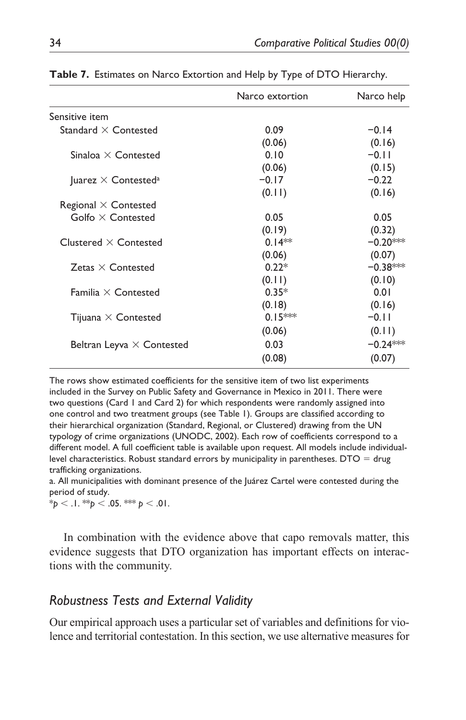|                                        | Narco extortion | Narco help |
|----------------------------------------|-----------------|------------|
| Sensitive item                         |                 |            |
| Standard $\times$ Contested            | 0.09            | $-0.14$    |
|                                        | (0.06)          | (0.16)     |
| Sinaloa $\times$ Contested             | 0.10            | $-0.11$    |
|                                        | (0.06)          | (0.15)     |
| Juarez $\times$ Contested <sup>a</sup> | $-0.17$         | $-0.22$    |
|                                        | (0.11)          | (0.16)     |
| Regional $\times$ Contested            |                 |            |
| Golfo $\times$ Contested               | 0.05            | 0.05       |
|                                        | (0.19)          | (0.32)     |
| Clustered $\times$ Contested           | $0.14**$        | $-0.20***$ |
|                                        | (0.06)          | (0.07)     |
| Zetas $\times$ Contested               | $0.22*$         | $-0.38***$ |
|                                        | (0.11)          | (0.10)     |
| Familia $\times$ Contested             | $0.35*$         | 0.01       |
|                                        | (0.18)          | (0.16)     |
| Tijuana $\times$ Contested             | $0.15***$       | $-0.11$    |
|                                        | (0.06)          | (0.11)     |
| Beltran Leyva $\times$ Contested       | 0.03            | $-0.24***$ |
|                                        | (0.08)          | (0.07)     |

**Table 7.** Estimates on Narco Extortion and Help by Type of DTO Hierarchy.

The rows show estimated coefficients for the sensitive item of two list experiments included in the Survey on Public Safety and Governance in Mexico in 2011. There were two questions (Card 1 and Card 2) for which respondents were randomly assigned into one control and two treatment groups (see Table 1). Groups are classified according to their hierarchical organization (Standard, Regional, or Clustered) drawing from the UN typology of crime organizations (UNODC, 2002). Each row of coefficients correspond to a different model. A full coefficient table is available upon request. All models include individuallevel characteristics. Robust standard errors by municipality in parentheses.  $DTO = drug$ trafficking organizations.

a. All municipalities with dominant presence of the Juárez Cartel were contested during the period of study.

 $*_{p}$  < .1.  $*_{p}$  < .05.  $*_{p}$  < .01.

In combination with the evidence above that capo removals matter, this evidence suggests that DTO organization has important effects on interactions with the community.

# *Robustness Tests and External Validity*

Our empirical approach uses a particular set of variables and definitions for violence and territorial contestation. In this section, we use alternative measures for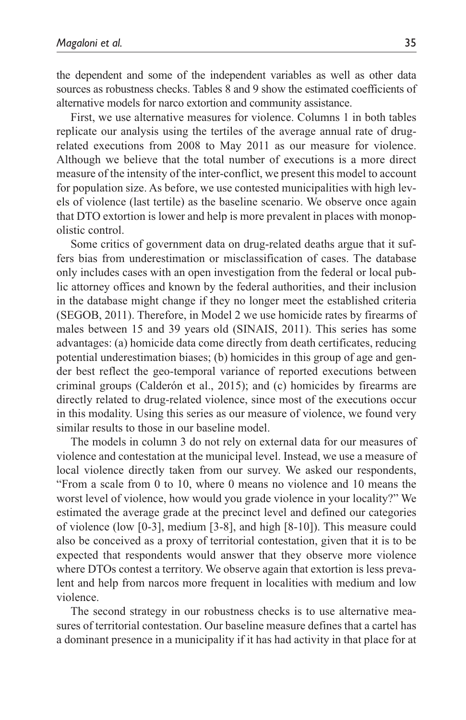the dependent and some of the independent variables as well as other data sources as robustness checks. Tables 8 and 9 show the estimated coefficients of alternative models for narco extortion and community assistance.

First, we use alternative measures for violence. Columns 1 in both tables replicate our analysis using the tertiles of the average annual rate of drugrelated executions from 2008 to May 2011 as our measure for violence. Although we believe that the total number of executions is a more direct measure of the intensity of the inter-conflict, we present this model to account for population size. As before, we use contested municipalities with high levels of violence (last tertile) as the baseline scenario. We observe once again that DTO extortion is lower and help is more prevalent in places with monopolistic control.

Some critics of government data on drug-related deaths argue that it suffers bias from underestimation or misclassification of cases. The database only includes cases with an open investigation from the federal or local public attorney offices and known by the federal authorities, and their inclusion in the database might change if they no longer meet the established criteria (SEGOB, 2011). Therefore, in Model 2 we use homicide rates by firearms of males between 15 and 39 years old (SINAIS, 2011). This series has some advantages: (a) homicide data come directly from death certificates, reducing potential underestimation biases; (b) homicides in this group of age and gender best reflect the geo-temporal variance of reported executions between criminal groups (Calderón et al., 2015); and (c) homicides by firearms are directly related to drug-related violence, since most of the executions occur in this modality. Using this series as our measure of violence, we found very similar results to those in our baseline model.

The models in column 3 do not rely on external data for our measures of violence and contestation at the municipal level. Instead, we use a measure of local violence directly taken from our survey. We asked our respondents, "From a scale from 0 to 10, where 0 means no violence and 10 means the worst level of violence, how would you grade violence in your locality?" We estimated the average grade at the precinct level and defined our categories of violence (low [0-3], medium [3-8], and high [8-10]). This measure could also be conceived as a proxy of territorial contestation, given that it is to be expected that respondents would answer that they observe more violence where DTOs contest a territory. We observe again that extortion is less prevalent and help from narcos more frequent in localities with medium and low violence.

The second strategy in our robustness checks is to use alternative measures of territorial contestation. Our baseline measure defines that a cartel has a dominant presence in a municipality if it has had activity in that place for at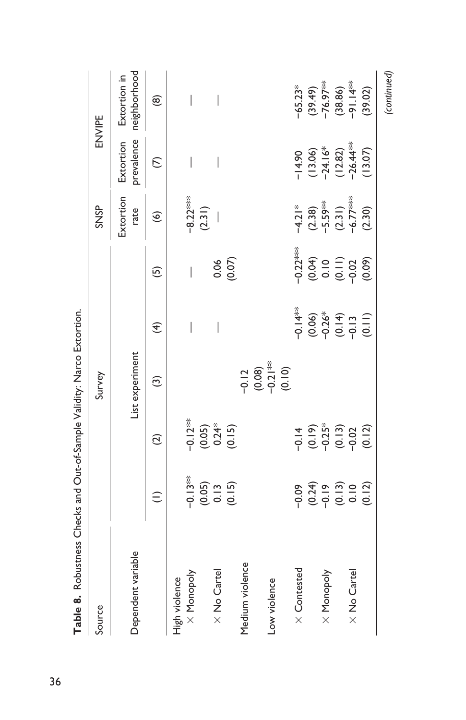| Table 8. Robustness Checks and Out-of-Sample Validity: Narco Extortion. |                                                                                                                                                                                                                                                                                                          |                                               |                                                     |                                                        |                                        |                                                             |                                                                 |                                              |
|-------------------------------------------------------------------------|----------------------------------------------------------------------------------------------------------------------------------------------------------------------------------------------------------------------------------------------------------------------------------------------------------|-----------------------------------------------|-----------------------------------------------------|--------------------------------------------------------|----------------------------------------|-------------------------------------------------------------|-----------------------------------------------------------------|----------------------------------------------|
| Source                                                                  |                                                                                                                                                                                                                                                                                                          |                                               | Survey                                              |                                                        |                                        | <b>SNSP</b>                                                 |                                                                 | ENVIPE                                       |
| Dependent variable                                                      |                                                                                                                                                                                                                                                                                                          |                                               | List experiment                                     |                                                        |                                        | Extortion<br>rate                                           | prevalence<br>Extortion                                         | neighborhood<br>Extortion in                 |
|                                                                         | $\widehat{\cdot}$                                                                                                                                                                                                                                                                                        | $\widehat{\infty}$                            | $\widehat{\mathcal{C}}$                             | €                                                      | <u>ය</u>                               | $\circledcirc$                                              | $\mathcal{L}$                                                   | $\circledast$                                |
| High violence                                                           |                                                                                                                                                                                                                                                                                                          |                                               |                                                     |                                                        |                                        |                                                             |                                                                 |                                              |
| $\times$ Monopoly                                                       |                                                                                                                                                                                                                                                                                                          |                                               |                                                     | $\overline{\phantom{a}}$                               | $\overline{\phantom{a}}$               | $-8.22***$                                                  |                                                                 |                                              |
|                                                                         |                                                                                                                                                                                                                                                                                                          |                                               |                                                     |                                                        |                                        | (2.31)                                                      |                                                                 |                                              |
| $\times$ No Cartel                                                      |                                                                                                                                                                                                                                                                                                          |                                               |                                                     | $\overline{\phantom{a}}$                               | 0.06                                   |                                                             | $\overline{\phantom{a}}$                                        | $\overline{\phantom{a}}$                     |
|                                                                         | $-0.13**$<br>$(0.05)$<br>$0.13$<br>$(0.15)$                                                                                                                                                                                                                                                              | $-0.12***$<br>$(0.05)$<br>$0.24*$<br>$(0.15)$ |                                                     |                                                        | (0.07)                                 |                                                             |                                                                 |                                              |
| Medium violence                                                         |                                                                                                                                                                                                                                                                                                          |                                               |                                                     |                                                        |                                        |                                                             |                                                                 |                                              |
|                                                                         |                                                                                                                                                                                                                                                                                                          |                                               |                                                     |                                                        |                                        |                                                             |                                                                 |                                              |
| Low violence                                                            |                                                                                                                                                                                                                                                                                                          |                                               | $-0.12$<br>$-0.08$<br>$-0.21$<br>$+0.10$<br>$-0.00$ |                                                        |                                        |                                                             |                                                                 |                                              |
| X Contested                                                             |                                                                                                                                                                                                                                                                                                          |                                               |                                                     | $-0.14**$                                              | $-0.22***$                             |                                                             |                                                                 | $-65.23*$                                    |
|                                                                         | $-6$<br>$-6$<br>$-6$<br>$-6$<br>$-6$<br>$-6$<br>$-6$<br>$-6$<br>$-6$<br>$-6$<br>$-6$<br>$-6$<br>$-6$<br>$-6$<br>$-6$<br>$-6$<br>$-6$<br>$-6$<br>$-6$<br>$-6$<br>$-6$<br>$-6$<br>$-6$<br>$-6$<br>$-6$<br>$-6$<br>$-6$<br>$-6$<br>$-6$<br>$-6$<br>$-6$<br>$-6$<br>$-6$<br>$-6$<br>$-6$<br>$-6$<br>$-6$<br> |                                               |                                                     |                                                        | $(0.04)$<br>$0.10$<br>$0.11$<br>$0.02$ | $-4.21*$<br>$(2.38)$<br>$-5.59**$<br>$(2.31)$<br>$-6.77***$ | $-14.90$<br>(13.06)<br>(13.06)<br>(28.2)<br>(12.82)<br>(26.44** |                                              |
| X Monopoly                                                              |                                                                                                                                                                                                                                                                                                          |                                               |                                                     |                                                        |                                        |                                                             |                                                                 |                                              |
|                                                                         |                                                                                                                                                                                                                                                                                                          |                                               |                                                     | $(0.06)$<br>$0.26$<br>$(0.19)$<br>$(0.19)$<br>$(0.19)$ |                                        |                                                             |                                                                 | $(39.49)$<br>-76.97**<br>(38.86)<br>-91.14** |
| $\times$ No Cartel                                                      |                                                                                                                                                                                                                                                                                                          |                                               |                                                     |                                                        |                                        |                                                             |                                                                 |                                              |
|                                                                         |                                                                                                                                                                                                                                                                                                          | (0.12)                                        |                                                     |                                                        | (0.09)                                 | (2.30)                                                      | (13.07)                                                         | (39.02)                                      |
|                                                                         |                                                                                                                                                                                                                                                                                                          |                                               |                                                     |                                                        |                                        |                                                             |                                                                 | (continued)                                  |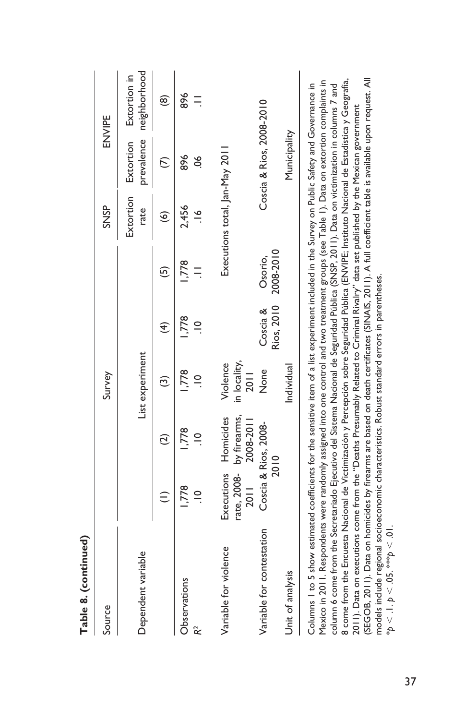| Source                                                                                                                                                                                                                                                                                                                                                                                                                                                                                                                                                                                                                                                                                                                                                                                                                                                                                                                                                                                                                                         |                    |                                                    | Survey                           |                        |                      | <b>SNSP</b>                    |                          | ENVIPE                       |
|------------------------------------------------------------------------------------------------------------------------------------------------------------------------------------------------------------------------------------------------------------------------------------------------------------------------------------------------------------------------------------------------------------------------------------------------------------------------------------------------------------------------------------------------------------------------------------------------------------------------------------------------------------------------------------------------------------------------------------------------------------------------------------------------------------------------------------------------------------------------------------------------------------------------------------------------------------------------------------------------------------------------------------------------|--------------------|----------------------------------------------------|----------------------------------|------------------------|----------------------|--------------------------------|--------------------------|------------------------------|
| Dependent variable                                                                                                                                                                                                                                                                                                                                                                                                                                                                                                                                                                                                                                                                                                                                                                                                                                                                                                                                                                                                                             |                    |                                                    | List experiment                  |                        |                      | Extortion<br>rate              | prevalence<br>Extortion  | neighborhood<br>Extortion in |
|                                                                                                                                                                                                                                                                                                                                                                                                                                                                                                                                                                                                                                                                                                                                                                                                                                                                                                                                                                                                                                                |                    | $\widehat{\infty}$                                 | ම                                | $\widehat{\mathbf{f}}$ | ගි                   | $\widehat{\mathbf{e}}$         | $\in$                    | $\circledast$                |
| Observations                                                                                                                                                                                                                                                                                                                                                                                                                                                                                                                                                                                                                                                                                                                                                                                                                                                                                                                                                                                                                                   | ,778               | ,778                                               | ,778                             | ,778                   | ,778                 | 2,456                          | 896                      | 896                          |
| R <sup>2</sup>                                                                                                                                                                                                                                                                                                                                                                                                                                                                                                                                                                                                                                                                                                                                                                                                                                                                                                                                                                                                                                 | $\frac{1}{1}$      | $\frac{1}{2}$                                      | $\frac{1}{2}$                    | $\supseteq$            |                      | $\frac{6}{1}$                  | 8ó                       |                              |
| Variable for violence                                                                                                                                                                                                                                                                                                                                                                                                                                                                                                                                                                                                                                                                                                                                                                                                                                                                                                                                                                                                                          | Executions<br>2011 | rate, 2008- by firearms,<br>Homicides<br>2008-2011 | in locality,<br>Violence<br>2011 |                        |                      | Executions total, Jan-May 2011 |                          |                              |
| Variable for contestation                                                                                                                                                                                                                                                                                                                                                                                                                                                                                                                                                                                                                                                                                                                                                                                                                                                                                                                                                                                                                      |                    | Coscia & Rios, 2008-<br>2010                       | None                             | Rios, 2010<br>Coscia & | 2008-2010<br>Osorio, |                                | Coscia & Rios, 2008-2010 |                              |
| Unit of analysis                                                                                                                                                                                                                                                                                                                                                                                                                                                                                                                                                                                                                                                                                                                                                                                                                                                                                                                                                                                                                               |                    |                                                    | Individual                       |                        |                      |                                | Municipality             |                              |
| (SEGOB, 2011). Data on homicides by firearms are based on death certificates (SINAIS, 2011). A full coefficient table is available upon request. All<br>8 come from the Encuesta Nacional de Victimización y Percepción sobre Seguridad Pública (ENVIPE; Instituto Nacional de Estadística y Geografía,<br>Mexico in 2011. Respondents were randomly assigned into one control and two treatment groups (see Table 1). Data on extortion complaints in<br>Columns I to 5 show estimated coefficients for the sensitive item of a list experiment included in the Survey on Public Safety and Governance in<br>column 6 come from the Secretariado Ejecutivo del Sistema Nacional de Seguridad Pública (SNSP, 2011). Data on victimization in columns 7 and<br>2011). Data on executions come from the "Deaths Presumably Related to Criminal Rivalry" data set published by the Mexican government<br>models include regional socioeconomic characteristics. Robust standard errors in parentheses.<br>* $p < 1$ . $p < .05$ . *** $p < .01$ . |                    |                                                    |                                  |                        |                      |                                |                          |                              |

Table 8. (continued) **Table 8. (continued)**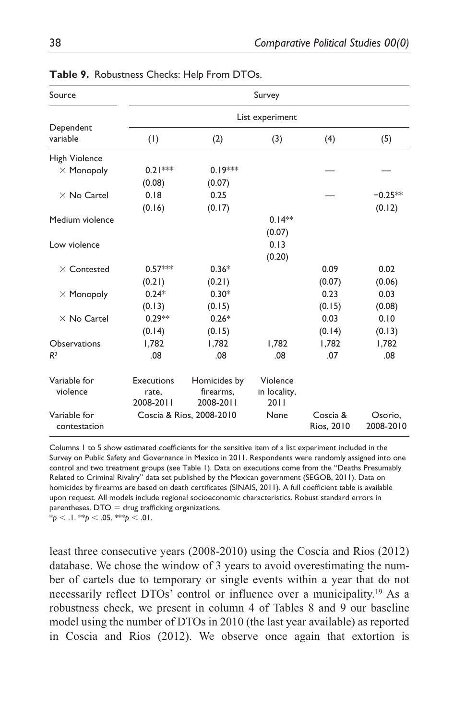| Source                       |                    |                          | Survey               |                        |                      |
|------------------------------|--------------------|--------------------------|----------------------|------------------------|----------------------|
|                              |                    |                          | List experiment      |                        |                      |
| Dependent<br>variable        | (1)                | (2)                      | (3)                  | (4)                    | (5)                  |
| High Violence                |                    |                          |                      |                        |                      |
| $\times$ Monopoly            | $0.21***$          | $0.19***$                |                      |                        |                      |
|                              | (0.08)             | (0.07)                   |                      |                        |                      |
| $\times$ No Cartel           | 0.18               | 0.25                     |                      |                        | $-0.25**$            |
|                              | (0.16)             | (0.17)                   |                      |                        | (0.12)               |
| Medium violence              |                    |                          | $0.14**$             |                        |                      |
|                              |                    |                          | (0.07)               |                        |                      |
| Low violence                 |                    |                          | 0.13                 |                        |                      |
|                              |                    |                          | (0.20)               |                        |                      |
| $\times$ Contested           | $0.57***$          | $0.36*$                  |                      | 0.09                   | 0.02                 |
|                              | (0.21)             | (0.21)                   |                      | (0.07)                 | (0.06)               |
| $\times$ Monopoly            | $0.24*$            | $0.30*$                  |                      | 0.23                   | 0.03                 |
|                              | (0.13)             | (0.15)                   |                      | (0.15)                 | (0.08)               |
| $\times$ No Cartel           | $0.29**$           | $0.26*$                  |                      | 0.03                   | 0.10                 |
|                              | (0.14)             | (0.15)                   |                      | (0.14)                 | (0.13)               |
| <b>Observations</b>          | 1,782              | 1.782                    | 1.782                | 1.782                  | 1,782                |
| R <sup>2</sup>               | .08                | .08                      | .08                  | .07                    | .08                  |
| Variable for                 | Executions         | Homicides by             | Violence             |                        |                      |
| violence                     | rate,<br>2008-2011 | firearms.<br>2008-2011   | in locality,<br>2011 |                        |                      |
| Variable for<br>contestation |                    | Coscia & Rios, 2008-2010 | None                 | Coscia &<br>Rios, 2010 | Osorio,<br>2008-2010 |

**Table 9.** Robustness Checks: Help From DTOs.

Columns 1 to 5 show estimated coefficients for the sensitive item of a list experiment included in the Survey on Public Safety and Governance in Mexico in 2011. Respondents were randomly assigned into one control and two treatment groups (see Table 1). Data on executions come from the "Deaths Presumably Related to Criminal Rivalry" data set published by the Mexican government (SEGOB, 2011). Data on homicides by firearms are based on death certificates (SINAIS, 2011). A full coefficient table is available upon request. All models include regional socioeconomic characteristics. Robust standard errors in parentheses.  $DTO = drug$  trafficking organizations.

 $*_{p}$  < .1.  $*_{p}$  < .05.  $*_{p}$  < .01.

least three consecutive years (2008-2010) using the Coscia and Rios (2012) database. We chose the window of 3 years to avoid overestimating the number of cartels due to temporary or single events within a year that do not necessarily reflect DTOs' control or influence over a municipality.19 As a robustness check, we present in column 4 of Tables 8 and 9 our baseline model using the number of DTOs in 2010 (the last year available) as reported in Coscia and Rios (2012). We observe once again that extortion is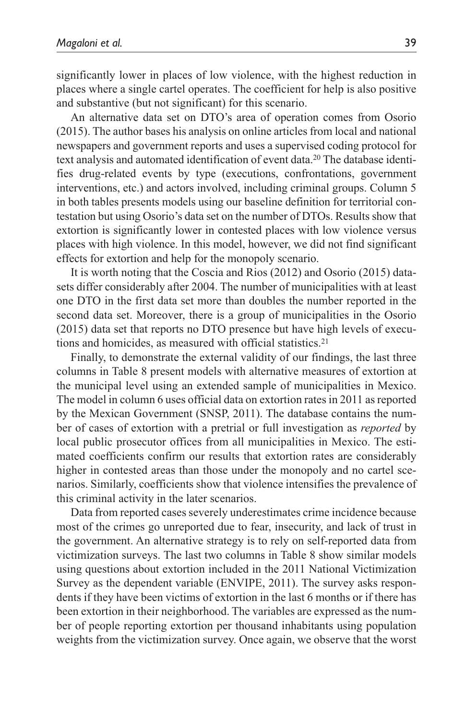significantly lower in places of low violence, with the highest reduction in places where a single cartel operates. The coefficient for help is also positive and substantive (but not significant) for this scenario.

An alternative data set on DTO's area of operation comes from Osorio (2015). The author bases his analysis on online articles from local and national newspapers and government reports and uses a supervised coding protocol for text analysis and automated identification of event data.20 The database identifies drug-related events by type (executions, confrontations, government interventions, etc.) and actors involved, including criminal groups. Column 5 in both tables presents models using our baseline definition for territorial contestation but using Osorio's data set on the number of DTOs. Results show that extortion is significantly lower in contested places with low violence versus places with high violence. In this model, however, we did not find significant effects for extortion and help for the monopoly scenario.

It is worth noting that the Coscia and Rios (2012) and Osorio (2015) datasets differ considerably after 2004. The number of municipalities with at least one DTO in the first data set more than doubles the number reported in the second data set. Moreover, there is a group of municipalities in the Osorio (2015) data set that reports no DTO presence but have high levels of executions and homicides, as measured with official statistics.21

Finally, to demonstrate the external validity of our findings, the last three columns in Table 8 present models with alternative measures of extortion at the municipal level using an extended sample of municipalities in Mexico. The model in column 6 uses official data on extortion rates in 2011 as reported by the Mexican Government (SNSP, 2011). The database contains the number of cases of extortion with a pretrial or full investigation as *reported* by local public prosecutor offices from all municipalities in Mexico. The estimated coefficients confirm our results that extortion rates are considerably higher in contested areas than those under the monopoly and no cartel scenarios. Similarly, coefficients show that violence intensifies the prevalence of this criminal activity in the later scenarios.

Data from reported cases severely underestimates crime incidence because most of the crimes go unreported due to fear, insecurity, and lack of trust in the government. An alternative strategy is to rely on self-reported data from victimization surveys. The last two columns in Table 8 show similar models using questions about extortion included in the 2011 National Victimization Survey as the dependent variable (ENVIPE, 2011). The survey asks respondents if they have been victims of extortion in the last 6 months or if there has been extortion in their neighborhood. The variables are expressed as the number of people reporting extortion per thousand inhabitants using population weights from the victimization survey. Once again, we observe that the worst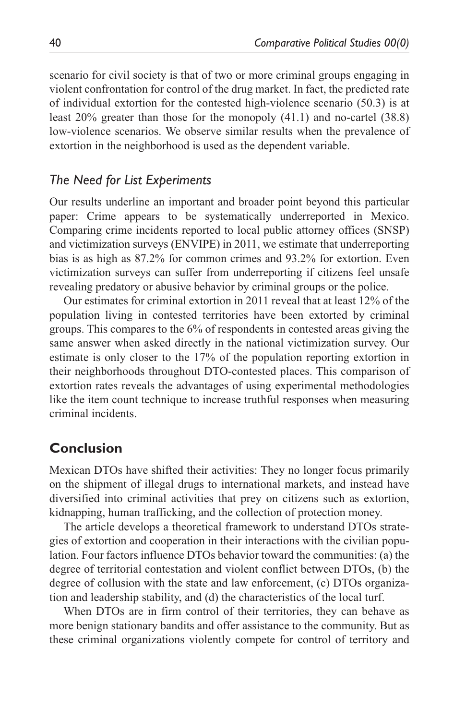scenario for civil society is that of two or more criminal groups engaging in violent confrontation for control of the drug market. In fact, the predicted rate of individual extortion for the contested high-violence scenario (50.3) is at least 20% greater than those for the monopoly (41.1) and no-cartel (38.8) low-violence scenarios. We observe similar results when the prevalence of extortion in the neighborhood is used as the dependent variable.

# *The Need for List Experiments*

Our results underline an important and broader point beyond this particular paper: Crime appears to be systematically underreported in Mexico. Comparing crime incidents reported to local public attorney offices (SNSP) and victimization surveys (ENVIPE) in 2011, we estimate that underreporting bias is as high as 87.2% for common crimes and 93.2% for extortion. Even victimization surveys can suffer from underreporting if citizens feel unsafe revealing predatory or abusive behavior by criminal groups or the police.

Our estimates for criminal extortion in 2011 reveal that at least 12% of the population living in contested territories have been extorted by criminal groups. This compares to the 6% of respondents in contested areas giving the same answer when asked directly in the national victimization survey. Our estimate is only closer to the 17% of the population reporting extortion in their neighborhoods throughout DTO-contested places. This comparison of extortion rates reveals the advantages of using experimental methodologies like the item count technique to increase truthful responses when measuring criminal incidents.

# **Conclusion**

Mexican DTOs have shifted their activities: They no longer focus primarily on the shipment of illegal drugs to international markets, and instead have diversified into criminal activities that prey on citizens such as extortion, kidnapping, human trafficking, and the collection of protection money.

The article develops a theoretical framework to understand DTOs strategies of extortion and cooperation in their interactions with the civilian population. Four factors influence DTOs behavior toward the communities: (a) the degree of territorial contestation and violent conflict between DTOs, (b) the degree of collusion with the state and law enforcement, (c) DTOs organization and leadership stability, and (d) the characteristics of the local turf.

When DTOs are in firm control of their territories, they can behave as more benign stationary bandits and offer assistance to the community. But as these criminal organizations violently compete for control of territory and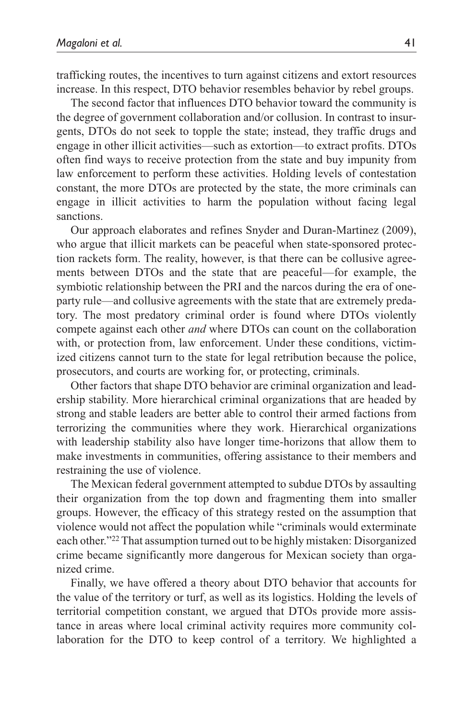trafficking routes, the incentives to turn against citizens and extort resources increase. In this respect, DTO behavior resembles behavior by rebel groups.

The second factor that influences DTO behavior toward the community is the degree of government collaboration and/or collusion. In contrast to insurgents, DTOs do not seek to topple the state; instead, they traffic drugs and engage in other illicit activities—such as extortion—to extract profits. DTOs often find ways to receive protection from the state and buy impunity from law enforcement to perform these activities. Holding levels of contestation constant, the more DTOs are protected by the state, the more criminals can engage in illicit activities to harm the population without facing legal sanctions.

Our approach elaborates and refines Snyder and Duran-Martinez (2009), who argue that illicit markets can be peaceful when state-sponsored protection rackets form. The reality, however, is that there can be collusive agreements between DTOs and the state that are peaceful—for example, the symbiotic relationship between the PRI and the narcos during the era of oneparty rule—and collusive agreements with the state that are extremely predatory. The most predatory criminal order is found where DTOs violently compete against each other *and* where DTOs can count on the collaboration with, or protection from, law enforcement. Under these conditions, victimized citizens cannot turn to the state for legal retribution because the police, prosecutors, and courts are working for, or protecting, criminals.

Other factors that shape DTO behavior are criminal organization and leadership stability. More hierarchical criminal organizations that are headed by strong and stable leaders are better able to control their armed factions from terrorizing the communities where they work. Hierarchical organizations with leadership stability also have longer time-horizons that allow them to make investments in communities, offering assistance to their members and restraining the use of violence.

The Mexican federal government attempted to subdue DTOs by assaulting their organization from the top down and fragmenting them into smaller groups. However, the efficacy of this strategy rested on the assumption that violence would not affect the population while "criminals would exterminate each other."22 That assumption turned out to be highly mistaken: Disorganized crime became significantly more dangerous for Mexican society than organized crime.

Finally, we have offered a theory about DTO behavior that accounts for the value of the territory or turf, as well as its logistics. Holding the levels of territorial competition constant, we argued that DTOs provide more assistance in areas where local criminal activity requires more community collaboration for the DTO to keep control of a territory. We highlighted a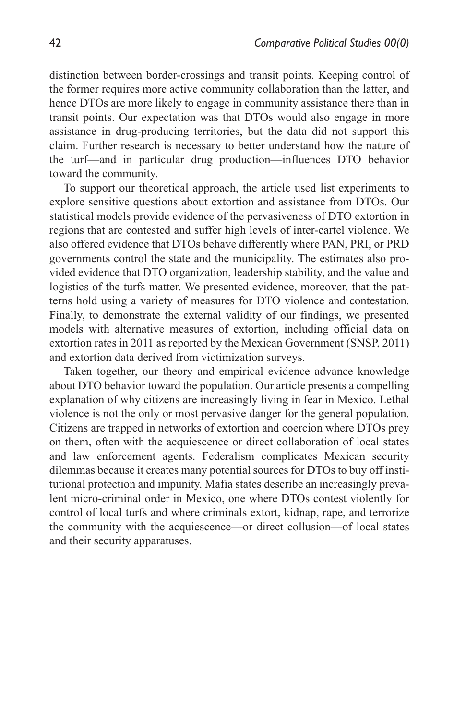distinction between border-crossings and transit points. Keeping control of the former requires more active community collaboration than the latter, and hence DTOs are more likely to engage in community assistance there than in transit points. Our expectation was that DTOs would also engage in more assistance in drug-producing territories, but the data did not support this claim. Further research is necessary to better understand how the nature of the turf—and in particular drug production—influences DTO behavior toward the community.

To support our theoretical approach, the article used list experiments to explore sensitive questions about extortion and assistance from DTOs. Our statistical models provide evidence of the pervasiveness of DTO extortion in regions that are contested and suffer high levels of inter-cartel violence. We also offered evidence that DTOs behave differently where PAN, PRI, or PRD governments control the state and the municipality. The estimates also provided evidence that DTO organization, leadership stability, and the value and logistics of the turfs matter. We presented evidence, moreover, that the patterns hold using a variety of measures for DTO violence and contestation. Finally, to demonstrate the external validity of our findings, we presented models with alternative measures of extortion, including official data on extortion rates in 2011 as reported by the Mexican Government (SNSP, 2011) and extortion data derived from victimization surveys.

Taken together, our theory and empirical evidence advance knowledge about DTO behavior toward the population. Our article presents a compelling explanation of why citizens are increasingly living in fear in Mexico. Lethal violence is not the only or most pervasive danger for the general population. Citizens are trapped in networks of extortion and coercion where DTOs prey on them, often with the acquiescence or direct collaboration of local states and law enforcement agents. Federalism complicates Mexican security dilemmas because it creates many potential sources for DTOs to buy off institutional protection and impunity. Mafia states describe an increasingly prevalent micro-criminal order in Mexico, one where DTOs contest violently for control of local turfs and where criminals extort, kidnap, rape, and terrorize the community with the acquiescence—or direct collusion—of local states and their security apparatuses.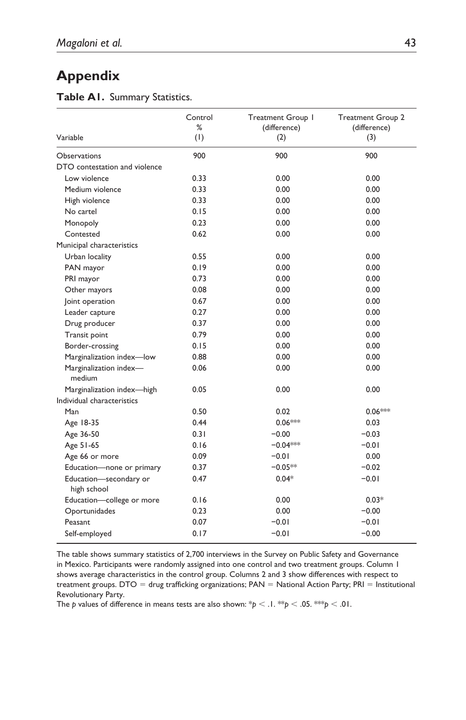# **Appendix**

#### **Table A1.** Summary Statistics.

| Variable                              | Control<br>%<br>(1) | Treatment Group I<br>(difference)<br>(2) | <b>Treatment Group 2</b><br>(difference)<br>(3) |
|---------------------------------------|---------------------|------------------------------------------|-------------------------------------------------|
| Observations                          | 900                 | 900                                      | 900                                             |
| DTO contestation and violence         |                     |                                          |                                                 |
| Low violence                          | 0.33                | 0.00                                     | 0.00                                            |
| Medium violence                       | 0.33                | 0.00                                     | 0.00                                            |
| High violence                         | 0.33                | 0.00                                     | 0.00                                            |
| No cartel                             | 0.15                | 0.00                                     | 0.00                                            |
| Monopoly                              | 0.23                | 0.00                                     | 0.00                                            |
| Contested                             | 0.62                | 0.00                                     | 0.00                                            |
| Municipal characteristics             |                     |                                          |                                                 |
| Urban locality                        | 0.55                | 0.00                                     | 0.00                                            |
| PAN mayor                             | 0.19                | 0.00                                     | 0.00                                            |
| PRI mayor                             | 0.73                | 0.00                                     | 0.00                                            |
| Other mayors                          | 0.08                | 0.00                                     | 0.00                                            |
| oint operation                        | 0.67                | 0.00                                     | 0.00                                            |
| Leader capture                        | 0.27                | 0.00                                     | 0.00                                            |
| Drug producer                         | 0.37                | 0.00                                     | 0.00                                            |
| Transit point                         | 0.79                | 0.00                                     | 0.00                                            |
| Border-crossing                       | 0.15                | 0.00                                     | 0.00                                            |
| Marginalization index-low             | 0.88                | 0.00                                     | 0.00                                            |
| Marginalization index-<br>medium      | 0.06                | 0.00                                     | 0.00                                            |
| Marginalization index-high            | 0.05                | 0.00                                     | 0.00                                            |
| Individual characteristics            |                     |                                          |                                                 |
| Man                                   | 0.50                | 0.02                                     | $0.06***$                                       |
| Age 18-35                             | 0.44                | 0.06***                                  | 0.03                                            |
| Age 36-50                             | 0.31                | $-0.00$                                  | $-0.03$                                         |
| Age 51-65                             | 0.16                | $-0.04***$                               | $-0.01$                                         |
| Age 66 or more                        | 0.09                | $-0.01$                                  | 0.00                                            |
| Education-none or primary             | 0.37                | $-0.05**$                                | $-0.02$                                         |
| Education-secondary or<br>high school | 0.47                | $0.04*$                                  | $-0.01$                                         |
| Education-college or more             | 0.16                | 0.00                                     | $0.03*$                                         |
| Oportunidades                         | 0.23                | 0.00                                     | $-0.00$                                         |
| Peasant                               | 0.07                | $-0.01$                                  | $-0.01$                                         |
| Self-employed                         | 0.17                | $-0.01$                                  | $-0.00$                                         |

The table shows summary statistics of 2,700 interviews in the Survey on Public Safety and Governance in Mexico. Participants were randomly assigned into one control and two treatment groups. Column 1 shows average characteristics in the control group. Columns 2 and 3 show differences with respect to treatment groups. DTO = drug trafficking organizations; PAN = National Action Party; PRI = Institutional Revolutionary Party.

The *p* values of difference in means tests are also shown:  $\frac{1}{p}$  < .1.  $\frac{1}{p}$  < .05.  $\frac{1}{p}$  < .01.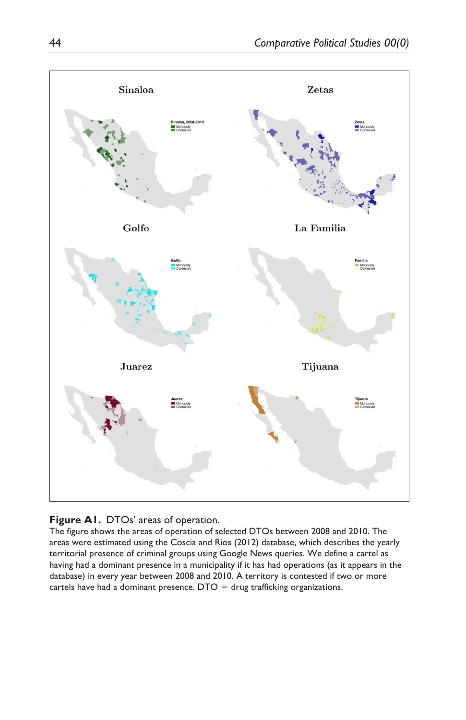

#### **Figure A1.** DTOs' areas of operation.

The figure shows the areas of operation of selected DTOs between 2008 and 2010. The areas were estimated using the Coscia and Rios (2012) database, which describes the yearly territorial presence of criminal groups using Google News queries. We define a cartel as having had a dominant presence in a municipality if it has had operations (as it appears in the database) in every year between 2008 and 2010. A territory is contested if two or more cartels have had a dominant presence.  $DTO = drug$  trafficking organizations.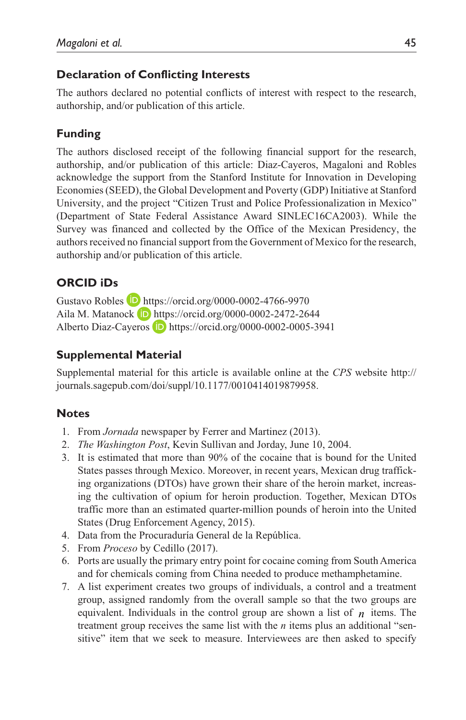## **Declaration of Conflicting Interests**

The authors declared no potential conflicts of interest with respect to the research, authorship, and/or publication of this article.

# **Funding**

The authors disclosed receipt of the following financial support for the research, authorship, and/or publication of this article: Diaz-Cayeros, Magaloni and Robles acknowledge the support from the Stanford Institute for Innovation in Developing Economies (SEED), the Global Development and Poverty (GDP) Initiative at Stanford University, and the project "Citizen Trust and Police Professionalization in Mexico" (Department of State Federal Assistance Award SINLEC16CA2003). While the Survey was financed and collected by the Office of the Mexican Presidency, the authors received no financial support from the Government of Mexico for the research, authorship and/or publication of this article.

# **ORCID iDs**

Gustavo Robles **D** <https://orcid.org/0000-0002-4766-9970> Aila M. Matanock **b** <https://orcid.org/0000-0002-2472-2644> Alberto Diaz-Cayeros D <https://orcid.org/0000-0002-0005-3941>

## **Supplemental Material**

Supplemental material for this article is available online at the *CPS* website [http://](http://journals.sagepub.com/doi/suppl/10.1177/0010414019879958) [journals.sagepub.com/doi/suppl/10.1177/0010414019879958.](http://journals.sagepub.com/doi/suppl/10.1177/0010414019879958)

## **Notes**

- 1. From *Jornada* newspaper by Ferrer and Martinez (2013).
- 2. *The Washington Post*, Kevin Sullivan and Jorday, June 10, 2004.
- 3. It is estimated that more than 90% of the cocaine that is bound for the United States passes through Mexico. Moreover, in recent years, Mexican drug trafficking organizations (DTOs) have grown their share of the heroin market, increasing the cultivation of opium for heroin production. Together, Mexican DTOs traffic more than an estimated quarter-million pounds of heroin into the United States (Drug Enforcement Agency, 2015).
- 4. Data from the Procuraduría General de la República.
- 5. From *Proceso* by Cedillo (2017).
- 6. Ports are usually the primary entry point for cocaine coming from South America and for chemicals coming from China needed to produce methamphetamine.
- 7. A list experiment creates two groups of individuals, a control and a treatment group, assigned randomly from the overall sample so that the two groups are equivalent. Individuals in the control group are shown a list of  $n$  items. The treatment group receives the same list with the  $n$  items plus an additional "sensitive" item that we seek to measure. Interviewees are then asked to specify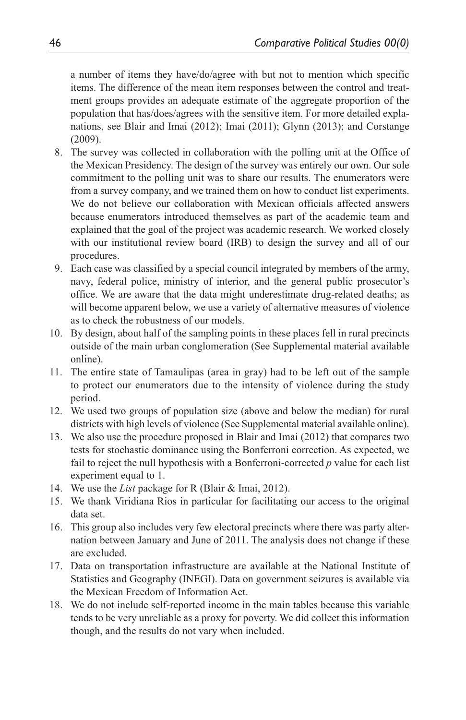a number of items they have/do/agree with but not to mention which specific items. The difference of the mean item responses between the control and treatment groups provides an adequate estimate of the aggregate proportion of the population that has/does/agrees with the sensitive item. For more detailed explanations, see Blair and Imai (2012); Imai (2011); Glynn (2013); and Corstange (2009).

- 8. The survey was collected in collaboration with the polling unit at the Office of the Mexican Presidency. The design of the survey was entirely our own. Our sole commitment to the polling unit was to share our results. The enumerators were from a survey company, and we trained them on how to conduct list experiments. We do not believe our collaboration with Mexican officials affected answers because enumerators introduced themselves as part of the academic team and explained that the goal of the project was academic research. We worked closely with our institutional review board (IRB) to design the survey and all of our procedures.
- 9. Each case was classified by a special council integrated by members of the army, navy, federal police, ministry of interior, and the general public prosecutor's office. We are aware that the data might underestimate drug-related deaths; as will become apparent below, we use a variety of alternative measures of violence as to check the robustness of our models.
- 10. By design, about half of the sampling points in these places fell in rural precincts outside of the main urban conglomeration (See Supplemental material available online).
- 11. The entire state of Tamaulipas (area in gray) had to be left out of the sample to protect our enumerators due to the intensity of violence during the study period.
- 12. We used two groups of population size (above and below the median) for rural districts with high levels of violence (See Supplemental material available online).
- 13. We also use the procedure proposed in Blair and Imai (2012) that compares two tests for stochastic dominance using the Bonferroni correction. As expected, we fail to reject the null hypothesis with a Bonferroni-corrected *p* value for each list experiment equal to 1.
- 14. We use the *List* package for R (Blair & Imai, 2012).
- 15. We thank Viridiana Rios in particular for facilitating our access to the original data set.
- 16. This group also includes very few electoral precincts where there was party alternation between January and June of 2011. The analysis does not change if these are excluded.
- 17. Data on transportation infrastructure are available at the National Institute of Statistics and Geography (INEGI). Data on government seizures is available via the Mexican Freedom of Information Act.
- 18. We do not include self-reported income in the main tables because this variable tends to be very unreliable as a proxy for poverty. We did collect this information though, and the results do not vary when included.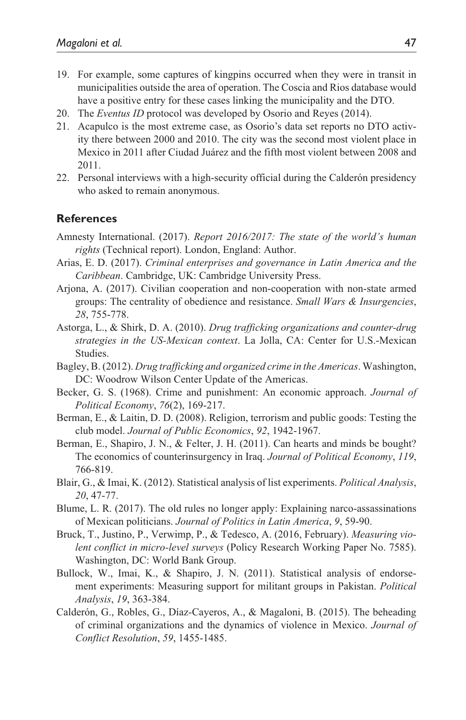- 19. For example, some captures of kingpins occurred when they were in transit in municipalities outside the area of operation. The Coscia and Rios database would have a positive entry for these cases linking the municipality and the DTO.
- 20. The *Eventus ID* protocol was developed by Osorio and Reyes (2014).
- 21. Acapulco is the most extreme case, as Osorio's data set reports no DTO activity there between 2000 and 2010. The city was the second most violent place in Mexico in 2011 after Ciudad Juárez and the fifth most violent between 2008 and 2011.
- 22. Personal interviews with a high-security official during the Calderón presidency who asked to remain anonymous.

#### **References**

- Amnesty International. (2017). *Report 2016/2017: The state of the world's human rights* (Technical report). London, England: Author.
- Arias, E. D. (2017). *Criminal enterprises and governance in Latin America and the Caribbean*. Cambridge, UK: Cambridge University Press.
- Arjona, A. (2017). Civilian cooperation and non-cooperation with non-state armed groups: The centrality of obedience and resistance. *Small Wars & Insurgencies*, *28*, 755-778.
- Astorga, L., & Shirk, D. A. (2010). *Drug trafficking organizations and counter-drug strategies in the US-Mexican context*. La Jolla, CA: Center for U.S.-Mexican Studies.
- Bagley, B. (2012). *Drug trafficking and organized crime in the Americas*. Washington, DC: Woodrow Wilson Center Update of the Americas.
- Becker, G. S. (1968). Crime and punishment: An economic approach. *Journal of Political Economy*, *76*(2), 169-217.
- Berman, E., & Laitin, D. D. (2008). Religion, terrorism and public goods: Testing the club model. *Journal of Public Economics*, *92*, 1942-1967.
- Berman, E., Shapiro, J. N., & Felter, J. H. (2011). Can hearts and minds be bought? The economics of counterinsurgency in Iraq. *Journal of Political Economy*, *119*, 766-819.
- Blair, G., & Imai, K. (2012). Statistical analysis of list experiments. *Political Analysis*, *20*, 47-77.
- Blume, L. R. (2017). The old rules no longer apply: Explaining narco-assassinations of Mexican politicians. *Journal of Politics in Latin America*, *9*, 59-90.
- Bruck, T., Justino, P., Verwimp, P., & Tedesco, A. (2016, February). *Measuring violent conflict in micro-level surveys* (Policy Research Working Paper No. 7585). Washington, DC: World Bank Group.
- Bullock, W., Imai, K., & Shapiro, J. N. (2011). Statistical analysis of endorsement experiments: Measuring support for militant groups in Pakistan. *Political Analysis*, *19*, 363-384.
- Calderón, G., Robles, G., Díaz-Cayeros, A., & Magaloni, B. (2015). The beheading of criminal organizations and the dynamics of violence in Mexico. *Journal of Conflict Resolution*, *59*, 1455-1485.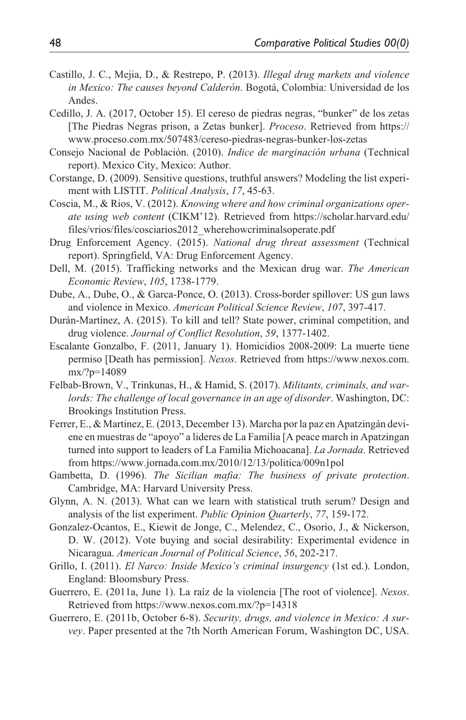- Castillo, J. C., Mejia, D., & Restrepo, P. (2013). *Illegal drug markets and violence in Mexico: The causes beyond Calderón*. Bogotá, Colombia: Universidad de los Andes.
- Cedillo, J. A. (2017, October 15). El cereso de piedras negras, "bunker" de los zetas [The Piedras Negras prison, a Zetas bunker]. *Proceso*. Retrieved from [https://](https://www.proceso.com.mx/507483/cereso-piedras-negras-bunker-los-zetas) [www.proceso.com.mx/507483/cereso-piedras-negras-bunker-los-zetas](https://www.proceso.com.mx/507483/cereso-piedras-negras-bunker-los-zetas)
- Consejo Nacional de Población. (2010). *Indice de marginación urbana* (Technical report). Mexico City, Mexico: Author.
- Corstange, D. (2009). Sensitive questions, truthful answers? Modeling the list experiment with LISTIT. *Political Analysis*, *17*, 45-63.
- Coscia, M., & Rios, V. (2012). *Knowing where and how criminal organizations operate using web content* (CIKM'12). Retrieved from [https://scholar.harvard.edu/](https://scholar.harvard.edu/files/vrios/files/cosciarios2012_wherehowcriminalsoperate.pdf) [files/vrios/files/cosciarios2012\\_wherehowcriminalsoperate.pdf](https://scholar.harvard.edu/files/vrios/files/cosciarios2012_wherehowcriminalsoperate.pdf)
- Drug Enforcement Agency. (2015). *National drug threat assessment* (Technical report). Springfield, VA: Drug Enforcement Agency.
- Dell, M. (2015). Trafficking networks and the Mexican drug war. *The American Economic Review*, *105*, 1738-1779.
- Dube, A., Dube, O., & Garca-Ponce, O. (2013). Cross-border spillover: US gun laws and violence in Mexico. *American Political Science Review*, *107*, 397-417.
- Durán-Martínez, A. (2015). To kill and tell? State power, criminal competition, and drug violence. *Journal of Conflict Resolution*, *59*, 1377-1402.
- Escalante Gonzalbo, F. (2011, January 1). Homicidios 2008-2009: La muerte tiene permiso [Death has permission]. *Nexos*. Retrieved from [https://www.nexos.com.](https://www.nexos.com.mx/?p=14089) [mx/?p=14089](https://www.nexos.com.mx/?p=14089)
- Felbab-Brown, V., Trinkunas, H., & Hamid, S. (2017). *Militants, criminals, and warlords: The challenge of local governance in an age of disorder*. Washington, DC: Brookings Institution Press.
- Ferrer, E., & Martinez, E. (2013, December 13). Marcha por la paz en Apatzingán deviene en muestras de "apoyo" a lideres de La Familia [A peace march in Apatzingan turned into support to leaders of La Familia Michoacana]. *La Jornada*. Retrieved from <https://www.jornada.com.mx/2010/12/13/politica/009n1pol>
- Gambetta, D. (1996). *The Sicilian mafia: The business of private protection*. Cambridge, MA: Harvard University Press.
- Glynn, A. N. (2013). What can we learn with statistical truth serum? Design and analysis of the list experiment. *Public Opinion Quarterly*, *77*, 159-172.
- Gonzalez-Ocantos, E., Kiewit de Jonge, C., Melendez, C., Osorio, J., & Nickerson, D. W. (2012). Vote buying and social desirability: Experimental evidence in Nicaragua. *American Journal of Political Science*, *56*, 202-217.
- Grillo, I. (2011). *El Narco: Inside Mexico's criminal insurgency* (1st ed.). London, England: Bloomsbury Press.
- Guerrero, E. (2011a, June 1). La raíz de la violencia [The root of violence]. *Nexos*. Retrieved from <https://www.nexos.com.mx/?p=14318>
- Guerrero, E. (2011b, October 6-8). *Security, drugs, and violence in Mexico: A survey*. Paper presented at the 7th North American Forum, Washington DC, USA.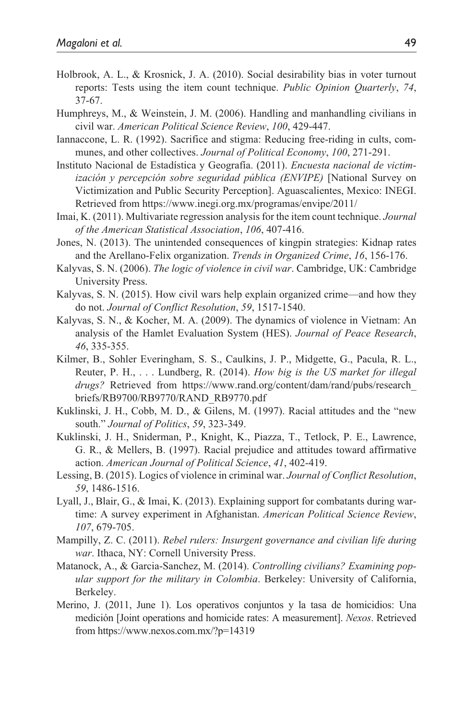- Holbrook, A. L., & Krosnick, J. A. (2010). Social desirability bias in voter turnout reports: Tests using the item count technique. *Public Opinion Quarterly*, *74*, 37-67.
- Humphreys, M., & Weinstein, J. M. (2006). Handling and manhandling civilians in civil war. *American Political Science Review*, *100*, 429-447.
- Iannaccone, L. R. (1992). Sacrifice and stigma: Reducing free-riding in cults, communes, and other collectives. *Journal of Political Economy*, *100*, 271-291.
- Instituto Nacional de Estadística y Geografía. (2011). *Encuesta nacional de victimización y percepción sobre seguridad pública (ENVIPE)* [National Survey on Victimization and Public Security Perception]. Aguascalientes, Mexico: INEGI. Retrieved from <https://www.inegi.org.mx/programas/envipe/2011/>
- Imai, K. (2011). Multivariate regression analysis for the item count technique. *Journal of the American Statistical Association*, *106*, 407-416.
- Jones, N. (2013). The unintended consequences of kingpin strategies: Kidnap rates and the Arellano-Felix organization. *Trends in Organized Crime*, *16*, 156-176.
- Kalyvas, S. N. (2006). *The logic of violence in civil war*. Cambridge, UK: Cambridge University Press.
- Kalyvas, S. N. (2015). How civil wars help explain organized crime—and how they do not. *Journal of Conflict Resolution*, *59*, 1517-1540.
- Kalyvas, S. N., & Kocher, M. A. (2009). The dynamics of violence in Vietnam: An analysis of the Hamlet Evaluation System (HES). *Journal of Peace Research*, *46*, 335-355.
- Kilmer, B., Sohler Everingham, S. S., Caulkins, J. P., Midgette, G., Pacula, R. L., Reuter, P. H., . . . Lundberg, R. (2014). *How big is the US market for illegal drugs?* Retrieved from [https://www.rand.org/content/dam/rand/pubs/research\\_](https://www.rand.org/content/dam/rand/pubs/research_briefs/RB9700/RB9770/RAND_RB9770.pdf) [briefs/RB9700/RB9770/RAND\\_RB9770.pdf](https://www.rand.org/content/dam/rand/pubs/research_briefs/RB9700/RB9770/RAND_RB9770.pdf)
- Kuklinski, J. H., Cobb, M. D., & Gilens, M. (1997). Racial attitudes and the "new south." *Journal of Politics*, *59*, 323-349.
- Kuklinski, J. H., Sniderman, P., Knight, K., Piazza, T., Tetlock, P. E., Lawrence, G. R., & Mellers, B. (1997). Racial prejudice and attitudes toward affirmative action. *American Journal of Political Science*, *41*, 402-419.
- Lessing, B. (2015). Logics of violence in criminal war. *Journal of Conflict Resolution*, *59*, 1486-1516.
- Lyall, J., Blair, G., & Imai, K. (2013). Explaining support for combatants during wartime: A survey experiment in Afghanistan. *American Political Science Review*, *107*, 679-705.
- Mampilly, Z. C. (2011). *Rebel rulers: Insurgent governance and civilian life during war*. Ithaca, NY: Cornell University Press.
- Matanock, A., & Garcia-Sanchez, M. (2014). *Controlling civilians? Examining popular support for the military in Colombia*. Berkeley: University of California, Berkeley.
- Merino, J. (2011, June 1). Los operativos conjuntos y la tasa de homicidios: Una medición [Joint operations and homicide rates: A measurement]. *Nexos*. Retrieved from<https://www.nexos.com.mx/?p=14319>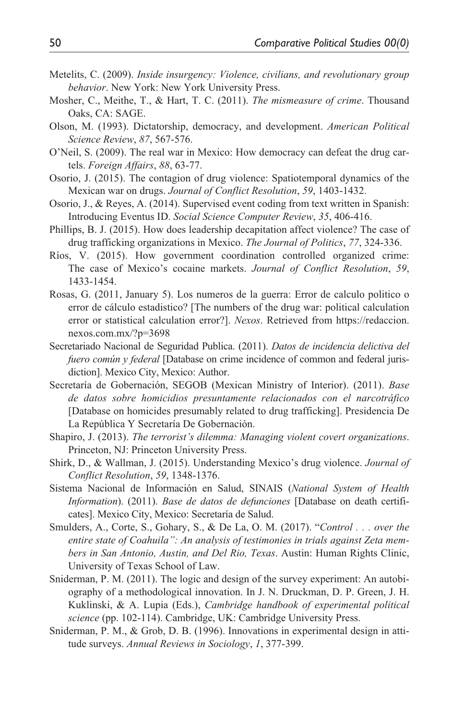- Metelits, C. (2009). *Inside insurgency: Violence, civilians, and revolutionary group behavior*. New York: New York University Press.
- Mosher, C., Meithe, T., & Hart, T. C. (2011). *The mismeasure of crime*. Thousand Oaks, CA: SAGE.
- Olson, M. (1993). Dictatorship, democracy, and development. *American Political Science Review*, *87*, 567-576.
- O'Neil, S. (2009). The real war in Mexico: How democracy can defeat the drug cartels. *Foreign Affairs*, *88*, 63-77.
- Osorio, J. (2015). The contagion of drug violence: Spatiotemporal dynamics of the Mexican war on drugs. *Journal of Conflict Resolution*, *59*, 1403-1432.
- Osorio, J., & Reyes, A. (2014). Supervised event coding from text written in Spanish: Introducing Eventus ID. *Social Science Computer Review*, *35*, 406-416.
- Phillips, B. J. (2015). How does leadership decapitation affect violence? The case of drug trafficking organizations in Mexico. *The Journal of Politics*, *77*, 324-336.
- Ríos, V. (2015). How government coordination controlled organized crime: The case of Mexico's cocaine markets. *Journal of Conflict Resolution*, *59*, 1433-1454.
- Rosas, G. (2011, January 5). Los numeros de la guerra: Error de calculo politico o error de cálculo estadistico? [The numbers of the drug war: political calculation error or statistical calculation error?]. *Nexos*. Retrieved from [https://redaccion.](https://redaccion.nexos.com.mx/?p=3698) [nexos.com.mx/?p=3698](https://redaccion.nexos.com.mx/?p=3698)
- Secretariado Nacional de Seguridad Publica. (2011). *Datos de incidencia delictiva del fuero común y federal* [Database on crime incidence of common and federal jurisdiction]. Mexico City, Mexico: Author.
- Secretaría de Gobernación, SEGOB (Mexican Ministry of Interior). (2011). *Base de datos sobre homicidios presuntamente relacionados con el narcotráfico* [Database on homicides presumably related to drug trafficking]. Presidencia De La República Y Secretaría De Gobernación.
- Shapiro, J. (2013). *The terrorist's dilemma: Managing violent covert organizations*. Princeton, NJ: Princeton University Press.
- Shirk, D., & Wallman, J. (2015). Understanding Mexico's drug violence. *Journal of Conflict Resolution*, *59*, 1348-1376.
- Sistema Nacional de Información en Salud, SINAIS (*National System of Health Information*). (2011). *Base de datos de defunciones* [Database on death certificates]. Mexico City, Mexico: Secretaría de Salud.
- Smulders, A., Corte, S., Gohary, S., & De La, O. M. (2017). "*Control . . . over the entire state of Coahuila": An analysis of testimonies in trials against Zeta members in San Antonio, Austin, and Del Rio, Texas*. Austin: Human Rights Clinic, University of Texas School of Law.
- Sniderman, P. M. (2011). The logic and design of the survey experiment: An autobiography of a methodological innovation. In J. N. Druckman, D. P. Green, J. H. Kuklinski, & A. Lupia (Eds.), *Cambridge handbook of experimental political science* (pp. 102-114). Cambridge, UK: Cambridge University Press.
- Sniderman, P. M., & Grob, D. B. (1996). Innovations in experimental design in attitude surveys. *Annual Reviews in Sociology*, *1*, 377-399.